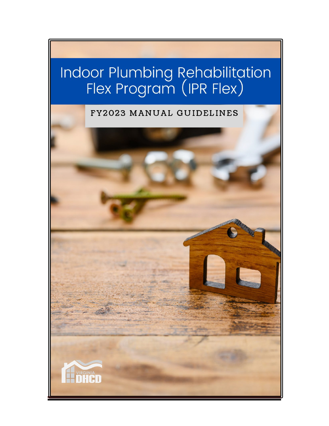# Indoor Plumbing Rehabilitation<br>Flex Program (IPR Flex)

### **FY2023 MANUAL GUIDELINES**

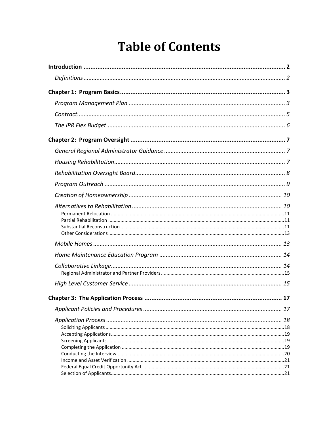## **Table of Contents**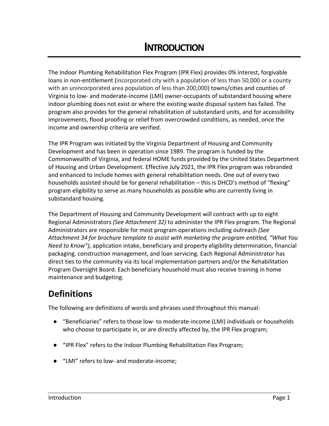<span id="page-4-0"></span>The Indoor Plumbing Rehabilitation Flex Program (IPR Flex) provides 0% interest, forgivable loans in non-entitlement (incorporated city with a population of less than 50,000 or a county with an unincorporated area population of less than 200,000) towns/cities and counties of Virginia to low- and moderate-income (LMI) owner-occupants of substandard housing where indoor plumbing does not exist or where the existing waste disposal system has failed. The program also provides for the general rehabilitation of substandard units, and for accessibility improvements, flood proofing or relief from overcrowded conditions, as needed, once the income and ownership criteria are verified.

The IPR Program was initiated by the Virginia Department of Housing and Community Development and has been in operation since 1989. The program is funded by the Commonwealth of Virginia, and federal HOME funds provided by the United States Department of Housing and Urban Development. Effective July 2021, the IPR Flex program was rebranded and enhanced to include homes with general rehabilitation needs. One out of every two households assisted should be for general rehabilitation – this is DHCD's method of "flexing" program eligibility to serve as many households as possible who are currently living in substandard housing.

The Department of Housing and Community Development will contract with up to eight Regional Administrators *(See Attachment 32)* to administer the IPR Flex program. The Regional Administrators are responsible for most program operations including outreach *(See Attachment 34 for brochure template to assist with marketing the program entitled, "What You Need to Know"),* application intake, beneficiary and property eligibility determination, financial packaging, construction management, and loan servicing. Each Regional Administrator has direct ties to the community via its local implementation partners and/or the Rehabilitation Program Oversight Board. Each beneficiary household must also receive training in home maintenance and budgeting.

## <span id="page-4-1"></span>**Definitions**

The following are definitions of words and phrases used throughout this manual:

- "Beneficiaries" refers to those low- to moderate-income (LMI) individuals or households who choose to participate in, or are directly affected by, the IPR Flex program;
- "IPR Flex" refers to the Indoor Plumbing Rehabilitation Flex Program;
- "LMI" refers to low- and moderate-income;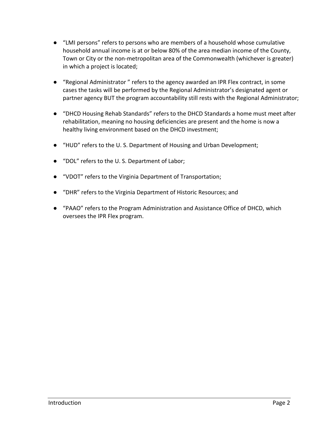- "LMI persons" refers to persons who are members of a household whose cumulative household annual income is at or below 80% of the area median income of the County, Town or City or the non-metropolitan area of the Commonwealth (whichever is greater) in which a project is located;
- "Regional Administrator" refers to the agency awarded an IPR Flex contract, in some cases the tasks will be performed by the Regional Administrator's designated agent or partner agency BUT the program accountability still rests with the Regional Administrator;
- "DHCD Housing Rehab Standards" refers to the DHCD Standards a home must meet after rehabilitation, meaning no housing deficiencies are present and the home is now a healthy living environment based on the DHCD investment;
- "HUD" refers to the U.S. Department of Housing and Urban Development;
- "DOL" refers to the U.S. Department of Labor;
- "VDOT" refers to the Virginia Department of Transportation;
- "DHR" refers to the Virginia Department of Historic Resources; and
- "PAAO" refers to the Program Administration and Assistance Office of DHCD, which oversees the IPR Flex program.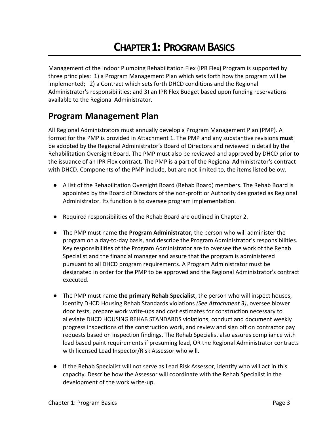## **CHAPTER 1: PROGRAM BASICS**

<span id="page-6-0"></span>Management of the Indoor Plumbing Rehabilitation Flex (IPR Flex) Program is supported by three principles: 1) a Program Management Plan which sets forth how the program will be implemented; 2) a Contract which sets forth DHCD conditions and the Regional Administrator's responsibilities; and 3) an IPR Flex Budget based upon funding reservations available to the Regional Administrator.

## <span id="page-6-1"></span>**Program Management Plan**

All Regional Administrators must annually develop a Program Management Plan (PMP). A format for the PMP is provided in Attachment 1. The PMP and any substantive revisions **must** be adopted by the Regional Administrator's Board of Directors and reviewed in detail by the Rehabilitation Oversight Board. The PMP must also be reviewed and approved by DHCD prior to the issuance of an IPR Flex contract. The PMP is a part of the Regional Administrator's contract with DHCD. Components of the PMP include, but are not limited to, the items listed below.

- A list of the Rehabilitation Oversight Board (Rehab Board) members. The Rehab Board is appointed by the Board of Directors of the non-profit or Authority designated as Regional Administrator. Its function is to oversee program implementation.
- Required responsibilities of the Rehab Board are outlined in Chapter 2.
- The PMP must name **the Program Administrator,** the person who will administer the program on a day-to-day basis, and describe the Program Administrator's responsibilities. Key responsibilities of the Program Administrator are to oversee the work of the Rehab Specialist and the financial manager and assure that the program is administered pursuant to all DHCD program requirements. A Program Administrator must be designated in order for the PMP to be approved and the Regional Administrator's contract executed.
- The PMP must name **the primary Rehab Specialist**, the person who will inspect houses, identify DHCD Housing Rehab Standards violations *(See Attachment 3)*, oversee blower door tests, prepare work write-ups and cost estimates for construction necessary to alleviate DHCD HOUSING REHAB STANDARDS violations, conduct and document weekly progress inspections of the construction work, and review and sign off on contractor pay requests based on inspection findings. The Rehab Specialist also assures compliance with lead based paint requirements if presuming lead, OR the Regional Administrator contracts with licensed Lead Inspector/Risk Assessor who will.
- If the Rehab Specialist will not serve as Lead Risk Assessor, identify who will act in this capacity. Describe how the Assessor will coordinate with the Rehab Specialist in the development of the work write-up.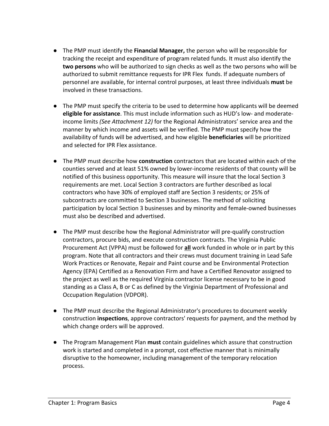- The PMP must identify the **Financial Manager,** the person who will be responsible for tracking the receipt and expenditure of program related funds. It must also identify the **two persons** who will be authorized to sign checks as well as the two persons who will be authorized to submit remittance requests for IPR Flex funds. If adequate numbers of personnel are available, for internal control purposes, at least three individuals **must** be involved in these transactions.
- The PMP must specify the criteria to be used to determine how applicants will be deemed **eligible for assistance**. This must include information such as HUD's low- and moderateincome limits *(See Attachment 12)* for the Regional Administrators' service area and the manner by which income and assets will be verified. The PMP must specify how the availability of funds will be advertised, and how eligible **beneficiaries** will be prioritized and selected for IPR Flex assistance.
- The PMP must describe how **construction** contractors that are located within each of the counties served and at least 51% owned by lower-income residents of that county will be notified of this business opportunity. This measure will insure that the local Section 3 requirements are met. Local Section 3 contractors are further described as local contractors who have 30% of employed staff are Section 3 residents; or 25% of subcontracts are committed to Section 3 businesses. The method of soliciting participation by local Section 3 businesses and by minority and female-owned businesses must also be described and advertised.
- The PMP must describe how the Regional Administrator will pre-qualify construction contractors, procure bids, and execute construction contracts. The Virginia Public Procurement Act (VPPA) must be followed for **all** work funded in whole or in part by this program. Note that all contractors and their crews must document training in Lead Safe Work Practices or Renovate, Repair and Paint course and be Environmental Protection Agency (EPA) Certified as a Renovation Firm and have a Certified Renovator assigned to the project as well as the required Virginia contractor license necessary to be in good standing as a Class A, B or C as defined by the Virginia Department of Professional and Occupation Regulation (VDPOR).
- The PMP must describe the Regional Administrator's procedures to document weekly construction **inspections**, approve contractors' requests for payment, and the method by which change orders will be approved.
- The Program Management Plan **must** contain guidelines which assure that construction work is started and completed in a prompt, cost effective manner that is minimally disruptive to the homeowner, including management of the temporary relocation process.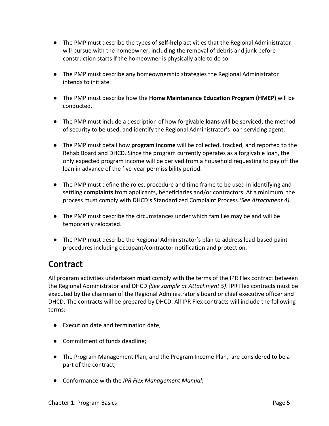- The PMP must describe the types of **self-help** activities that the Regional Administrator will pursue with the homeowner, including the removal of debris and junk before construction starts if the homeowner is physically able to do so.
- The PMP must describe any homeownership strategies the Regional Administrator intends to initiate.
- The PMP must describe how the **Home Maintenance Education Program (HMEP)** will be conducted.
- The PMP must include a description of how forgivable **loans** will be serviced, the method of security to be used, and identify the Regional Administrator's loan servicing agent.
- The PMP must detail how **program income** will be collected, tracked, and reported to the Rehab Board and DHCD. Since the program currently operates as a forgivable loan, the only expected program income will be derived from a household requesting to pay off the loan in advance of the five-year permissibility period.
- The PMP must define the roles, procedure and time frame to be used in identifying and settling **complaints** from applicants, beneficiaries and/or contractors. At a minimum, the process must comply with DHCD's Standardized Complaint Process *(See Attachment 4)*.
- The PMP must describe the circumstances under which families may be and will be temporarily relocated.
- The PMP must describe the Regional Administrator's plan to address lead-based paint procedures including occupant/contractor notification and protection.

## <span id="page-8-0"></span>**Contract**

All program activities undertaken **must** comply with the terms of the IPR Flex contract between the Regional Administrator and DHCD *(See sample at Attachment 5)*. IPR Flex contracts must be executed by the chairman of the Regional Administrator's board or chief executive officer and DHCD. The contracts will be prepared by DHCD. All IPR Flex contracts will include the following terms:

- Execution date and termination date;
- Commitment of funds deadline;
- The Program Management Plan, and the Program Income Plan, are considered to be a part of the contract;
- Conformance with the *IPR Flex Management Manual*;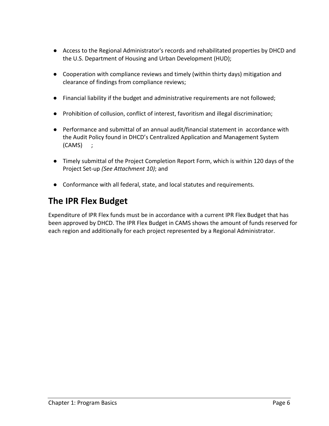- Access to the Regional Administrator's records and rehabilitated properties by DHCD and the U.S. Department of Housing and Urban Development (HUD);
- Cooperation with compliance reviews and timely (within thirty days) mitigation and clearance of findings from compliance reviews;
- Financial liability if the budget and administrative requirements are not followed;
- Prohibition of collusion, conflict of interest, favoritism and illegal discrimination;
- Performance and submittal of an annual audit/financial statement in accordance with the Audit Policy found in DHCD's Centralized Application and Management System (CAMS) ;
- Timely submittal of the Project Completion Report Form, which is within 120 days of the Project Set-up *(See Attachment 10)*; and
- Conformance with all federal, state, and local statutes and requirements.

## <span id="page-9-0"></span>**The IPR Flex Budget**

Expenditure of IPR Flex funds must be in accordance with a current IPR Flex Budget that has been approved by DHCD. The IPR Flex Budget in CAMS shows the amount of funds reserved for each region and additionally for each project represented by a Regional Administrator.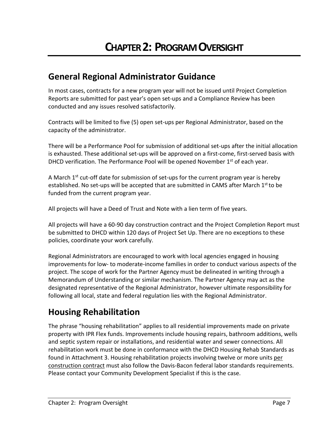## <span id="page-10-1"></span><span id="page-10-0"></span>**General Regional Administrator Guidance**

In most cases, contracts for a new program year will not be issued until Project Completion Reports are submitted for past year's open set-ups and a Compliance Review has been conducted and any issues resolved satisfactorily.

Contracts will be limited to five (5) open set-ups per Regional Administrator, based on the capacity of the administrator.

There will be a Performance Pool for submission of additional set-ups after the initial allocation is exhausted. These additional set-ups will be approved on a first-come, first-served basis with DHCD verification. The Performance Pool will be opened November  $1<sup>st</sup>$  of each year.

A March  $1<sup>st</sup>$  cut-off date for submission of set-ups for the current program year is hereby established. No set-ups will be accepted that are submitted in CAMS after March  $1<sup>st</sup>$  to be funded from the current program year.

All projects will have a Deed of Trust and Note with a lien term of five years.

All projects will have a 60-90 day construction contract and the Project Completion Report must be submitted to DHCD within 120 days of Project Set Up. There are no exceptions to these policies, coordinate your work carefully.

Regional Administrators are encouraged to work with local agencies engaged in housing improvements for low- to moderate-income families in order to conduct various aspects of the project. The scope of work for the Partner Agency must be delineated in writing through a Memorandum of Understanding or similar mechanism. The Partner Agency may act as the designated representative of the Regional Administrator, however ultimate responsibility for following all local, state and federal regulation lies with the Regional Administrator.

## <span id="page-10-2"></span>**Housing Rehabilitation**

The phrase "housing rehabilitation" applies to all residential improvements made on private property with IPR Flex funds. Improvements include housing repairs, bathroom additions, wells and septic system repair or installations, and residential water and sewer connections. All rehabilitation work must be done in conformance with the DHCD Housing Rehab Standards as found in Attachment 3. Housing rehabilitation projects involving twelve or more units per construction contract must also follow the Davis-Bacon federal labor standards requirements. Please contact your Community Development Specialist if this is the case.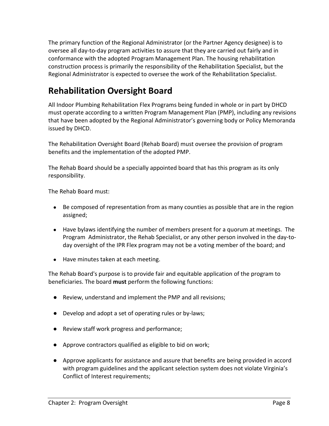The primary function of the Regional Administrator (or the Partner Agency designee) is to oversee all day-to-day program activities to assure that they are carried out fairly and in conformance with the adopted Program Management Plan. The housing rehabilitation construction process is primarily the responsibility of the Rehabilitation Specialist, but the Regional Administrator is expected to oversee the work of the Rehabilitation Specialist.

## <span id="page-11-0"></span>**Rehabilitation Oversight Board**

All Indoor Plumbing Rehabilitation Flex Programs being funded in whole or in part by DHCD must operate according to a written Program Management Plan (PMP), including any revisions that have been adopted by the Regional Administrator's governing body or Policy Memoranda issued by DHCD.

The Rehabilitation Oversight Board (Rehab Board) must oversee the provision of program benefits and the implementation of the adopted PMP.

The Rehab Board should be a specially appointed board that has this program as its only responsibility.

The Rehab Board must:

- Be composed of representation from as many counties as possible that are in the region assigned;
- Have bylaws identifying the number of members present for a quorum at meetings. The Program Administrator, the Rehab Specialist, or any other person involved in the day-today oversight of the IPR Flex program may not be a voting member of the board; and
- Have minutes taken at each meeting.

The Rehab Board's purpose is to provide fair and equitable application of the program to beneficiaries. The board **must** perform the following functions:

- Review, understand and implement the PMP and all revisions;
- Develop and adopt a set of operating rules or by-laws;
- Review staff work progress and performance;
- Approve contractors qualified as eligible to bid on work;
- Approve applicants for assistance and assure that benefits are being provided in accord with program guidelines and the applicant selection system does not violate Virginia's Conflict of Interest requirements;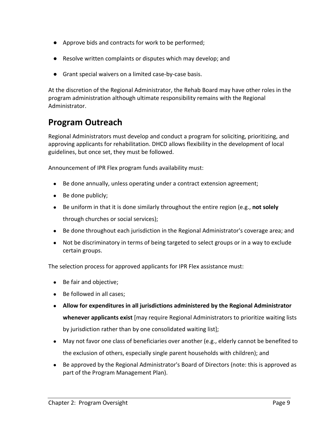- Approve bids and contracts for work to be performed;
- Resolve written complaints or disputes which may develop; and
- Grant special waivers on a limited case-by-case basis.

At the discretion of the Regional Administrator, the Rehab Board may have other roles in the program administration although ultimate responsibility remains with the Regional Administrator.

## <span id="page-12-0"></span>**Program Outreach**

Regional Administrators must develop and conduct a program for soliciting, prioritizing, and approving applicants for rehabilitation. DHCD allows flexibility in the development of local guidelines, but once set, they must be followed.

Announcement of IPR Flex program funds availability must:

- Be done annually, unless operating under a contract extension agreement;
- Be done publicly;
- Be uniform in that it is done similarly throughout the entire region (e.g., **not solely** through churches or social services);
- Be done throughout each jurisdiction in the Regional Administrator's coverage area; and
- Not be discriminatory in terms of being targeted to select groups or in a way to exclude certain groups.

The selection process for approved applicants for IPR Flex assistance must:

- Be fair and objective;
- Be followed in all cases;
- **Allow for expenditures in all jurisdictions administered by the Regional Administrator whenever applicants exist** [may require Regional Administrators to prioritize waiting lists by jurisdiction rather than by one consolidated waiting list];
- May not favor one class of beneficiaries over another (e.g., elderly cannot be benefited to the exclusion of others, especially single parent households with children); and
- Be approved by the Regional Administrator's Board of Directors (note: this is approved as part of the Program Management Plan).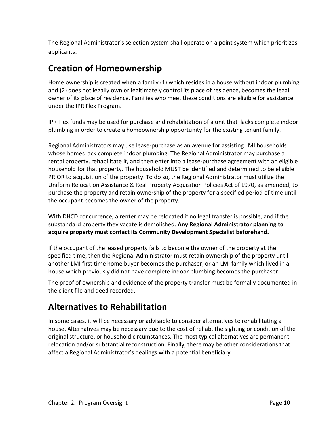The Regional Administrator's selection system shall operate on a point system which prioritizes applicants.

## <span id="page-13-0"></span>**Creation of Homeownership**

Home ownership is created when a family (1) which resides in a house without indoor plumbing and (2) does not legally own or legitimately control its place of residence, becomes the legal owner of its place of residence. Families who meet these conditions are eligible for assistance under the IPR Flex Program.

IPR Flex funds may be used for purchase and rehabilitation of a unit that lacks complete indoor plumbing in order to create a homeownership opportunity for the existing tenant family.

Regional Administrators may use lease-purchase as an avenue for assisting LMI households whose homes lack complete indoor plumbing. The Regional Administrator may purchase a rental property, rehabilitate it, and then enter into a lease-purchase agreement with an eligible household for that property. The household MUST be identified and determined to be eligible PRIOR to acquisition of the property. To do so, the Regional Administrator must utilize the Uniform Relocation Assistance & Real Property Acquisition Policies Act of 1970, as amended, to purchase the property and retain ownership of the property for a specified period of time until the occupant becomes the owner of the property.

With DHCD concurrence, a renter may be relocated if no legal transfer is possible, and if the substandard property they vacate is demolished. **Any Regional Administrator planning to acquire property must contact its Community Development Specialist beforehand.**

If the occupant of the leased property fails to become the owner of the property at the specified time, then the Regional Administrator must retain ownership of the property until another LMI first time home buyer becomes the purchaser, or an LMI family which lived in a house which previously did not have complete indoor plumbing becomes the purchaser.

The proof of ownership and evidence of the property transfer must be formally documented in the client file and deed recorded.

## <span id="page-13-1"></span>**Alternatives to Rehabilitation**

In some cases, it will be necessary or advisable to consider alternatives to rehabilitating a house. Alternatives may be necessary due to the cost of rehab, the sighting or condition of the original structure, or household circumstances. The most typical alternatives are permanent relocation and/or substantial reconstruction. Finally, there may be other considerations that affect a Regional Administrator's dealings with a potential beneficiary.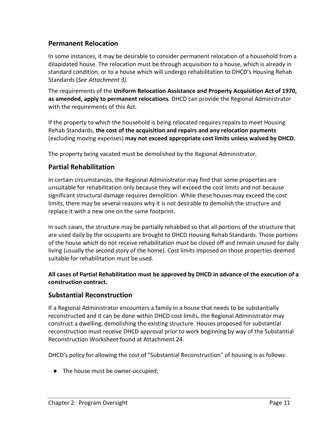#### <span id="page-14-0"></span>**Permanent Relocation**

In some instances, it may be desirable to consider permanent relocation of a household from a dilapidated house. The relocation must be through acquisition to a house, which is already in standard condition, or to a house which will undergo rehabilitation to DHCD's Housing Rehab Standards (*See Attachment 3).* 

The requirements of the **Uniform Relocation Assistance and Property Acquisition Act of 1970, as amended, apply to permanent relocations**. DHCD can provide the Regional Administrator with the requirements of this Act.

If the property to which the household is being relocated requires repairs to meet Housing Rehab Standards, **the cost of the acquisition and repairs and any relocation payments** (excluding moving expenses) **may not exceed appropriate cost limits unless waived by DHCD**.

The property being vacated must be demolished by the Regional Administrator.

#### <span id="page-14-1"></span>**Partial Rehabilitation**

In certain circumstances, the Regional Administrator may find that some properties are unsuitable for rehabilitation only because they will exceed the cost limits and not because significant structural damage requires demolition. While these houses may exceed the cost limits, there may be several reasons why it is not desirable to demolish the structure and replace it with a new one on the same footprint.

In such cases, the structure may be partially rehabbed so that all portions of the structure that are used daily by the occupants are brought to DHCD Housing Rehab Standards. Those portions of the house which do not receive rehabilitation *must* be closed off and remain unused for daily living (usually the second story of the home). Cost limits imposed on those properties deemed suitable for rehabilitation must be used.

#### **All cases of Partial Rehabilitation must be approved by DHCD in advance of the execution of a construction contract.**

#### <span id="page-14-2"></span>**Substantial Reconstruction**

If a Regional Administrator encounters a family in a house that needs to be substantially reconstructed and it can be done within DHCD cost limits, the Regional Administrator may construct a dwelling, demolishing the existing structure. Houses proposed for substantial reconstruction must receive DHCD approval prior to work beginning by way of the Substantial Reconstruction Worksheet found at Attachment 24.

DHCD's policy for allowing the cost of "Substantial Reconstruction" of housing is as follows:

● The house must be owner-occupied;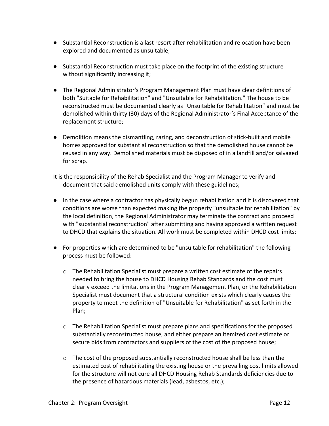- Substantial Reconstruction is a last resort after rehabilitation and relocation have been explored and documented as unsuitable;
- Substantial Reconstruction must take place on the footprint of the existing structure without significantly increasing it;
- The Regional Administrator's Program Management Plan must have clear definitions of both "Suitable for Rehabilitation" and "Unsuitable for Rehabilitation." The house to be reconstructed must be documented clearly as "Unsuitable for Rehabilitation" and must be demolished within thirty (30) days of the Regional Administrator's Final Acceptance of the replacement structure;
- Demolition means the dismantling, razing, and deconstruction of stick-built and mobile homes approved for substantial reconstruction so that the demolished house cannot be reused in any way. Demolished materials must be disposed of in a landfill and/or salvaged for scrap.

It is the responsibility of the Rehab Specialist and the Program Manager to verify and document that said demolished units comply with these guidelines;

- In the case where a contractor has physically begun rehabilitation and it is discovered that conditions are worse than expected making the property "unsuitable for rehabilitation" by the local definition, the Regional Administrator may terminate the contract and proceed with "substantial reconstruction" after submitting and having approved a written request to DHCD that explains the situation. All work must be completed within DHCD cost limits;
- For properties which are determined to be "unsuitable for rehabilitation" the following process must be followed:
	- $\circ$  The Rehabilitation Specialist must prepare a written cost estimate of the repairs needed to bring the house to DHCD Housing Rehab Standards and the cost must clearly exceed the limitations in the Program Management Plan, or the Rehabilitation Specialist must document that a structural condition exists which clearly causes the property to meet the definition of "Unsuitable for Rehabilitation" as set forth in the Plan;
	- $\circ$  The Rehabilitation Specialist must prepare plans and specifications for the proposed substantially reconstructed house, and either prepare an itemized cost estimate or secure bids from contractors and suppliers of the cost of the proposed house;
	- $\circ$  The cost of the proposed substantially reconstructed house shall be less than the estimated cost of rehabilitating the existing house or the prevailing cost limits allowed for the structure will not cure all DHCD Housing Rehab Standards deficiencies due to the presence of hazardous materials (lead, asbestos, etc.);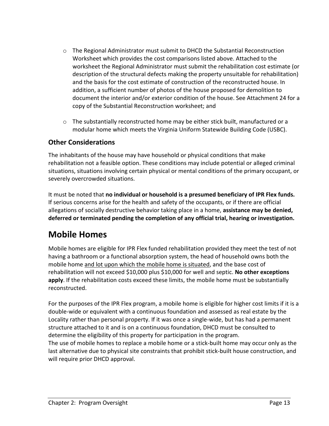- o The Regional Administrator must submit to DHCD the Substantial Reconstruction Worksheet which provides the cost comparisons listed above. Attached to the worksheet the Regional Administrator must submit the rehabilitation cost estimate (or description of the structural defects making the property unsuitable for rehabilitation) and the basis for the cost estimate of construction of the reconstructed house. In addition, a sufficient number of photos of the house proposed for demolition to document the interior and/or exterior condition of the house. See Attachment 24 for a copy of the Substantial Reconstruction worksheet; and
- $\circ$  The substantially reconstructed home may be either stick built, manufactured or a modular home which meets the Virginia Uniform Statewide Building Code (USBC).

#### <span id="page-16-0"></span>**Other Considerations**

The inhabitants of the house may have household or physical conditions that make rehabilitation not a feasible option. These conditions may include potential or alleged criminal situations, situations involving certain physical or mental conditions of the primary occupant, or severely overcrowded situations.

It must be noted that **no individual or household is a presumed beneficiary of IPR Flex funds.**  If serious concerns arise for the health and safety of the occupants, or if there are official allegations of socially destructive behavior taking place in a home, **assistance may be denied, deferred or terminated pending the completion of any official trial, hearing or investigation.**

## <span id="page-16-1"></span>**Mobile Homes**

Mobile homes are eligible for IPR Flex funded rehabilitation provided they meet the test of not having a bathroom or a functional absorption system, the head of household owns both the mobile home and lot upon which the mobile home is situated, and the base cost of rehabilitation will not exceed \$10,000 plus \$10,000 for well and septic. **No other exceptions apply**. If the rehabilitation costs exceed these limits, the mobile home must be substantially reconstructed.

For the purposes of the IPR Flex program, a mobile home is eligible for higher cost limits if it is a double-wide or equivalent with a continuous foundation and assessed as real estate by the Locality rather than personal property. If it was once a single-wide, but has had a permanent structure attached to it and is on a continuous foundation, DHCD must be consulted to determine the eligibility of this property for participation in the program.

The use of mobile homes to replace a mobile home or a stick-built home may occur only as the last alternative due to physical site constraints that prohibit stick-built house construction, and will require prior DHCD approval.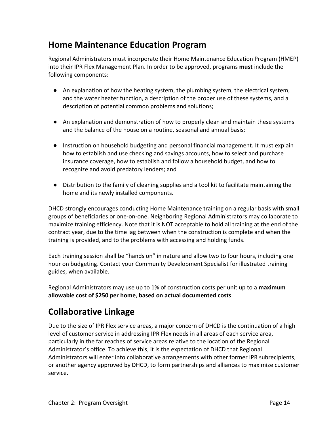## <span id="page-17-0"></span>**Home Maintenance Education Program**

Regional Administrators must incorporate their Home Maintenance Education Program (HMEP) into their IPR Flex Management Plan. In order to be approved, programs **must** include the following components:

- An explanation of how the heating system, the plumbing system, the electrical system, and the water heater function, a description of the proper use of these systems, and a description of potential common problems and solutions;
- An explanation and demonstration of how to properly clean and maintain these systems and the balance of the house on a routine, seasonal and annual basis;
- Instruction on household budgeting and personal financial management. It must explain how to establish and use checking and savings accounts, how to select and purchase insurance coverage, how to establish and follow a household budget, and how to recognize and avoid predatory lenders; and
- Distribution to the family of cleaning supplies and a tool kit to facilitate maintaining the home and its newly installed components.

DHCD strongly encourages conducting Home Maintenance training on a regular basis with small groups of beneficiaries or one-on-one. Neighboring Regional Administrators may collaborate to maximize training efficiency. Note that it is NOT acceptable to hold all training at the end of the contract year, due to the time lag between when the construction is complete and when the training is provided, and to the problems with accessing and holding funds.

Each training session shall be "hands on" in nature and allow two to four hours, including one hour on budgeting. Contact your Community Development Specialist for illustrated training guides, when available.

Regional Administrators may use up to 1% of construction costs per unit up to a **maximum allowable cost of \$250 per home**, **based on actual documented costs**.

## <span id="page-17-1"></span>**Collaborative Linkage**

Due to the size of IPR Flex service areas, a major concern of DHCD is the continuation of a high level of customer service in addressing IPR Flex needs in all areas of each service area, particularly in the far reaches of service areas relative to the location of the Regional Administrator's office. To achieve this, it is the expectation of DHCD that Regional Administrators will enter into collaborative arrangements with other former IPR subrecipients, or another agency approved by DHCD, to form partnerships and alliances to maximize customer service.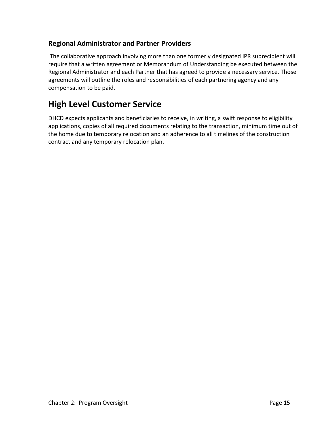#### <span id="page-18-0"></span>**Regional Administrator and Partner Providers**

The collaborative approach involving more than one formerly designated IPR subrecipient will require that a written agreement or Memorandum of Understanding be executed between the Regional Administrator and each Partner that has agreed to provide a necessary service. Those agreements will outline the roles and responsibilities of each partnering agency and any compensation to be paid.

## <span id="page-18-1"></span>**High Level Customer Service**

DHCD expects applicants and beneficiaries to receive, in writing, a swift response to eligibility applications, copies of all required documents relating to the transaction, minimum time out of the home due to temporary relocation and an adherence to all timelines of the construction contract and any temporary relocation plan.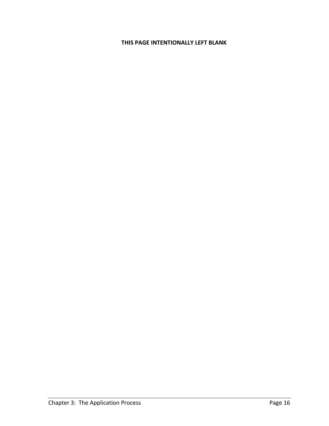#### **THIS PAGE INTENTIONALLY LEFT BLANK**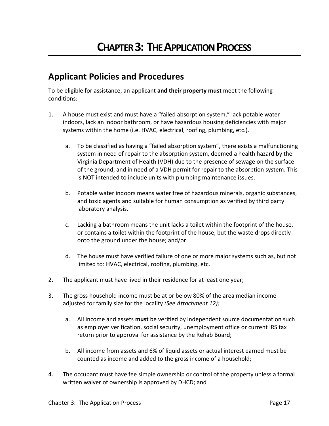## <span id="page-20-1"></span><span id="page-20-0"></span>**Applicant Policies and Procedures**

To be eligible for assistance, an applicant **and their property must** meet the following conditions:

- 1. A house must exist and must have a "failed absorption system," lack potable water indoors, lack an indoor bathroom, or have hazardous housing deficiencies with major systems within the home (i.e. HVAC, electrical, roofing, plumbing, etc.).
	- a. To be classified as having a "failed absorption system", there exists a malfunctioning system in need of repair to the absorption system, deemed a health hazard by the Virginia Department of Health (VDH) due to the presence of sewage on the surface of the ground, and in need of a VDH permit for repair to the absorption system. This is NOT intended to include units with plumbing maintenance issues.
	- b. Potable water indoors means water free of hazardous minerals, organic substances, and toxic agents and suitable for human consumption as verified by third party laboratory analysis.
	- c. Lacking a bathroom means the unit lacks a toilet within the footprint of the house, or contains a toilet within the footprint of the house, but the waste drops directly onto the ground under the house; and/or
	- d. The house must have verified failure of one or more major systems such as, but not limited to: HVAC, electrical, roofing, plumbing, etc.
- 2. The applicant must have lived in their residence for at least one year;
- 3. The gross household income must be at or below 80% of the area median income adjusted for family size for the locality *(See Attachment 12);*
	- a. All income and assets **must** be verified by independent source documentation such as employer verification, social security, unemployment office or current IRS tax return prior to approval for assistance by the Rehab Board;
	- b. All income from assets and 6% of liquid assets or actual interest earned must be counted as income and added to the gross income of a household;
- 4. The occupant must have fee simple ownership or control of the property unless a formal written waiver of ownership is approved by DHCD; and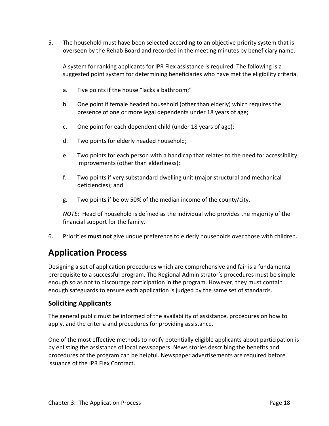5. The household must have been selected according to an objective priority system that is overseen by the Rehab Board and recorded in the meeting minutes by beneficiary name.

A system for ranking applicants for IPR Flex assistance is required. The following is a suggested point system for determining beneficiaries who have met the eligibility criteria.

- a. Five points if the house "lacks a bathroom;"
- b. One point if female headed household (other than elderly) which requires the presence of one or more legal dependents under 18 years of age;
- c. One point for each dependent child (under 18 years of age);
- d. Two points for elderly headed household;
- e. Two points for each person with a handicap that relates to the need for accessibility improvements (other than elderliness);
- f. Two points if very substandard dwelling unit (major structural and mechanical deficiencies); and
- g. Two points if below 50% of the median income of the county/city.

*NOTE*: Head of household is defined as the individual who provides the majority of the financial support for the family.

<span id="page-21-0"></span>6. Priorities **must not** give undue preference to elderly households over those with children.

## **Application Process**

Designing a set of application procedures which are comprehensive and fair is a fundamental prerequisite to a successful program. The Regional Administrator's procedures must be simple enough so as not to discourage participation in the program. However, they must contain enough safeguards to ensure each application is judged by the same set of standards.

#### <span id="page-21-1"></span>**Soliciting Applicants**

The general public must be informed of the availability of assistance, procedures on how to apply, and the criteria and procedures for providing assistance.

One of the most effective methods to notify potentially eligible applicants about participation is by enlisting the assistance of local newspapers. News stories describing the benefits and procedures of the program can be helpful. Newspaper advertisements are required before issuance of the IPR Flex Contract.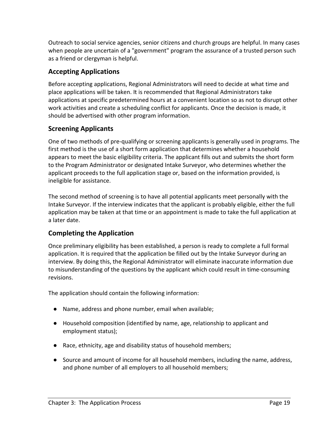Outreach to social service agencies, senior citizens and church groups are helpful. In many cases when people are uncertain of a "government" program the assurance of a trusted person such as a friend or clergyman is helpful.

#### <span id="page-22-0"></span>**Accepting Applications**

Before accepting applications, Regional Administrators will need to decide at what time and place applications will be taken. It is recommended that Regional Administrators take applications at specific predetermined hours at a convenient location so as not to disrupt other work activities and create a scheduling conflict for applicants. Once the decision is made, it should be advertised with other program information.

#### <span id="page-22-1"></span>**Screening Applicants**

One of two methods of pre-qualifying or screening applicants is generally used in programs. The first method is the use of a short form application that determines whether a household appears to meet the basic eligibility criteria. The applicant fills out and submits the short form to the Program Administrator or designated Intake Surveyor, who determines whether the applicant proceeds to the full application stage or, based on the information provided, is ineligible for assistance.

The second method of screening is to have all potential applicants meet personally with the Intake Surveyor. If the interview indicates that the applicant is probably eligible, either the full application may be taken at that time or an appointment is made to take the full application at a later date.

#### <span id="page-22-2"></span>**Completing the Application**

Once preliminary eligibility has been established, a person is ready to complete a full formal application. It is required that the application be filled out by the Intake Surveyor during an interview. By doing this, the Regional Administrator will eliminate inaccurate information due to misunderstanding of the questions by the applicant which could result in time-consuming revisions.

The application should contain the following information:

- Name, address and phone number, email when available;
- Household composition (identified by name, age, relationship to applicant and employment status);
- Race, ethnicity, age and disability status of household members;
- Source and amount of income for all household members, including the name, address, and phone number of all employers to all household members;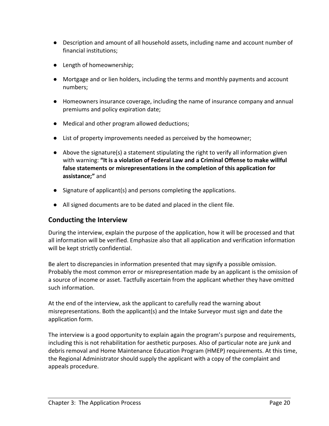- Description and amount of all household assets, including name and account number of financial institutions;
- Length of homeownership;
- Mortgage and or lien holders, including the terms and monthly payments and account numbers;
- Homeowners insurance coverage, including the name of insurance company and annual premiums and policy expiration date;
- Medical and other program allowed deductions;
- List of property improvements needed as perceived by the homeowner;
- Above the signature(s) a statement stipulating the right to verify all information given with warning: **"It is a violation of Federal Law and a Criminal Offense to make willful false statements or misrepresentations in the completion of this application for assistance;"** and
- Signature of applicant(s) and persons completing the applications.
- All signed documents are to be dated and placed in the client file.

#### <span id="page-23-0"></span>**Conducting the Interview**

During the interview, explain the purpose of the application, how it will be processed and that all information will be verified. Emphasize also that all application and verification information will be kept strictly confidential.

Be alert to discrepancies in information presented that may signify a possible omission. Probably the most common error or misrepresentation made by an applicant is the omission of a source of income or asset. Tactfully ascertain from the applicant whether they have omitted such information.

At the end of the interview, ask the applicant to carefully read the warning about misrepresentations. Both the applicant(s) and the Intake Surveyor must sign and date the application form.

The interview is a good opportunity to explain again the program's purpose and requirements, including this is not rehabilitation for aesthetic purposes. Also of particular note are junk and debris removal and Home Maintenance Education Program (HMEP) requirements. At this time, the Regional Administrator should supply the applicant with a copy of the complaint and appeals procedure.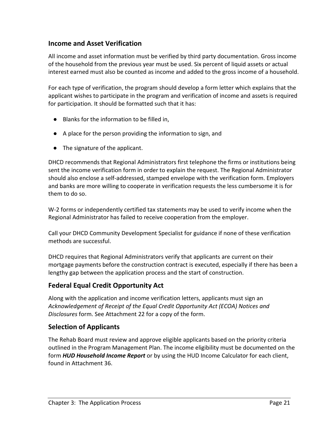#### <span id="page-24-0"></span>**Income and Asset Verification**

All income and asset information must be verified by third party documentation. Gross income of the household from the previous year must be used. Six percent of liquid assets or actual interest earned must also be counted as income and added to the gross income of a household.

For each type of verification, the program should develop a form letter which explains that the applicant wishes to participate in the program and verification of income and assets is required for participation. It should be formatted such that it has:

- Blanks for the information to be filled in,
- A place for the person providing the information to sign, and
- The signature of the applicant.

DHCD recommends that Regional Administrators first telephone the firms or institutions being sent the income verification form in order to explain the request. The Regional Administrator should also enclose a self-addressed, stamped envelope with the verification form. Employers and banks are more willing to cooperate in verification requests the less cumbersome it is for them to do so.

W-2 forms or independently certified tax statements may be used to verify income when the Regional Administrator has failed to receive cooperation from the employer.

Call your DHCD Community Development Specialist for guidance if none of these verification methods are successful.

DHCD requires that Regional Administrators verify that applicants are current on their mortgage payments before the construction contract is executed, especially if there has been a lengthy gap between the application process and the start of construction.

#### <span id="page-24-1"></span>**Federal Equal Credit Opportunity Act**

Along with the application and income verification letters, applicants must sign an *Acknowledgement of Receipt of the Equal Credit Opportunity Act (ECOA) Notices and Disclosures* form. See Attachment 22 for a copy of the form.

#### <span id="page-24-2"></span>**Selection of Applicants**

The Rehab Board must review and approve eligible applicants based on the priority criteria outlined in the Program Management Plan. The income eligibility must be documented on the form *HUD Household Income Report* or by using the HUD Income Calculator for each client, found in Attachment 36.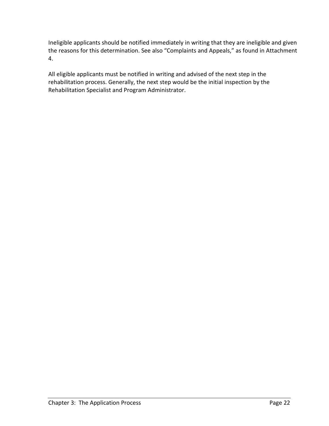Ineligible applicants should be notified immediately in writing that they are ineligible and given the reasons for this determination. See also "Complaints and Appeals," as found in Attachment 4.

All eligible applicants must be notified in writing and advised of the next step in the rehabilitation process. Generally, the next step would be the initial inspection by the Rehabilitation Specialist and Program Administrator.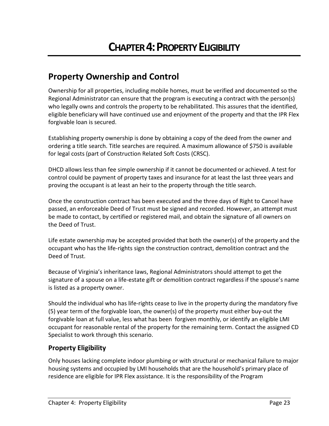## <span id="page-26-1"></span><span id="page-26-0"></span>**Property Ownership and Control**

Ownership for all properties, including mobile homes, must be verified and documented so the Regional Administrator can ensure that the program is executing a contract with the person(s) who legally owns and controls the property to be rehabilitated. This assures that the identified, eligible beneficiary will have continued use and enjoyment of the property and that the IPR Flex forgivable loan is secured.

Establishing property ownership is done by obtaining a copy of the deed from the owner and ordering a title search. Title searches are required. A maximum allowance of \$750 is available for legal costs (part of Construction Related Soft Costs (CRSC).

DHCD allows less than fee simple ownership if it cannot be documented or achieved. A test for control could be payment of property taxes and insurance for at least the last three years and proving the occupant is at least an heir to the property through the title search.

Once the construction contract has been executed and the three days of Right to Cancel have passed, an enforceable Deed of Trust must be signed and recorded. However, an attempt must be made to contact, by certified or registered mail, and obtain the signature of all owners on the Deed of Trust.

Life estate ownership may be accepted provided that both the owner(s) of the property and the occupant who has the life-rights sign the construction contract, demolition contract and the Deed of Trust.

Because of Virginia's inheritance laws, Regional Administrators should attempt to get the signature of a spouse on a life-estate gift or demolition contract regardless if the spouse's name is listed as a property owner.

Should the individual who has life-rights cease to live in the property during the mandatory five (5) year term of the forgivable loan, the owner(s) of the property must either buy-out the forgivable loan at full value, less what has been forgiven monthly, or identify an eligible LMI occupant for reasonable rental of the property for the remaining term. Contact the assigned CD Specialist to work through this scenario.

#### <span id="page-26-2"></span>**Property Eligibility**

Only houses lacking complete indoor plumbing or with structural or mechanical failure to major housing systems and occupied by LMI households that are the household's primary place of residence are eligible for IPR Flex assistance. It is the responsibility of the Program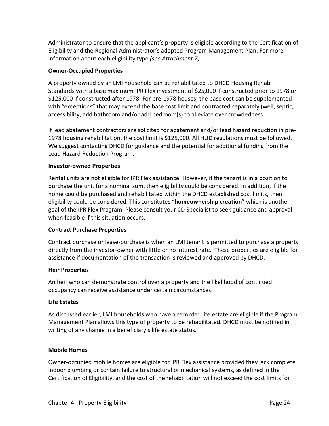Administrator to ensure that the applicant's property is eligible according to the Certification of Eligibility and the Regional Administrator's adopted Program Management Plan. For more information about each eligibility type *(see Attachment 7)*.

#### **Owner-Occupied Properties**

A property owned by an LMI household can be rehabilitated to DHCD Housing Rehab Standards with a base maximum IPR Flex investment of \$25,000 if constructed prior to 1978 or \$125,000 if constructed after 1978. For pre-1978 houses, the base cost can be supplemented with "exceptions" that may exceed the base cost limit and contracted separately (well, septic, accessibility, add bathroom and/or add bedroom(s) to alleviate over crowdedness.

If lead abatement contractors are solicited for abatement and/or lead hazard reduction in pre-1978 housing rehabilitation, the cost limit is \$125,000. All HUD regulations must be followed. We suggest contacting DHCD for guidance and the potential for additional funding from the Lead Hazard Reduction Program.

#### **Investor-owned Properties**

Rental units are not eligible for IPR Flex assistance. However, if the tenant is in a position to purchase the unit for a nominal sum, then eligibility could be considered. In addition, if the home could be purchased and rehabilitated within the DHCD established cost limits, then eligibility could be considered. This constitutes "**homeownership creation**" which is another goal of the IPR Flex Program. Please consult your CD Specialist to seek guidance and approval when feasible if this situation occurs.

#### **Contract Purchase Properties**

Contract purchase or lease-purchase is when an LMI tenant is permitted to purchase a property directly from the investor-owner with little or no interest rate. These properties are eligible for assistance if documentation of the transaction is reviewed and approved by DHCD.

#### **Heir Properties**

An heir who can demonstrate control over a property and the likelihood of continued occupancy can receive assistance under certain circumstances.

#### **Life Estates**

As discussed earlier, LMI households who have a recorded life estate are eligible if the Program Management Plan allows this type of property to be rehabilitated. DHCD must be notified in writing of any change in a beneficiary's life estate status.

#### **Mobile Homes**

Owner-occupied mobile homes are eligible for IPR Flex assistance provided they lack complete indoor plumbing or contain failure to structural or mechanical systems, as defined in the Certification of Eligibility, and the cost of the rehabilitation will not exceed the cost limits for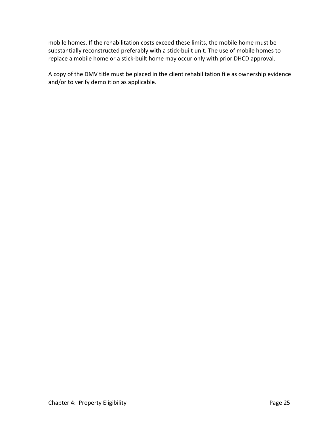mobile homes. If the rehabilitation costs exceed these limits, the mobile home must be substantially reconstructed preferably with a stick-built unit. The use of mobile homes to replace a mobile home or a stick-built home may occur only with prior DHCD approval.

A copy of the DMV title must be placed in the client rehabilitation file as ownership evidence and/or to verify demolition as applicable.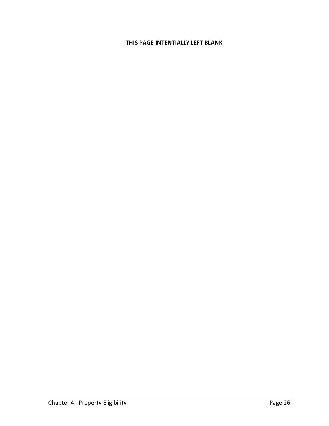#### **THIS PAGE INTENTIALLY LEFT BLANK**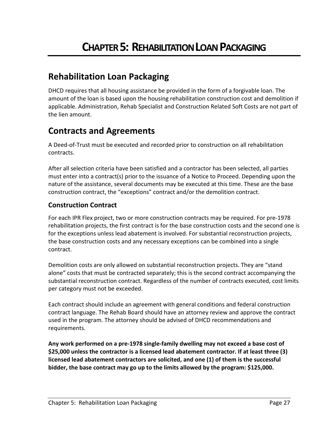## <span id="page-30-1"></span><span id="page-30-0"></span>**Rehabilitation Loan Packaging**

DHCD requires that all housing assistance be provided in the form of a forgivable loan. The amount of the loan is based upon the housing rehabilitation construction cost and demolition if applicable. Administration, Rehab Specialist and Construction Related Soft Costs are not part of the lien amount.

## <span id="page-30-2"></span>**Contracts and Agreements**

A Deed-of-Trust must be executed and recorded prior to construction on all rehabilitation contracts.

After all selection criteria have been satisfied and a contractor has been selected, all parties must enter into a contract(s) prior to the issuance of a Notice to Proceed. Depending upon the nature of the assistance, several documents may be executed at this time. These are the base construction contract, the "exceptions" contract and/or the demolition contract.

#### <span id="page-30-3"></span>**Construction Contract**

For each IPR Flex project, two or more construction contracts may be required. For pre-1978 rehabilitation projects, the first contract is for the base construction costs and the second one is for the exceptions unless lead abatement is involved. For substantial reconstruction projects, the base construction costs and any necessary exceptions can be combined into a single contract.

Demolition costs are only allowed on substantial reconstruction projects. They are "stand alone" costs that must be contracted separately; this is the second contract accompanying the substantial reconstruction contract. Regardless of the number of contracts executed, cost limits per category must not be exceeded.

Each contract should include an agreement with general conditions and federal construction contract language. The Rehab Board should have an attorney review and approve the contract used in the program. The attorney should be advised of DHCD recommendations and requirements.

**Any work performed on a pre-1978 single-family dwelling may not exceed a base cost of \$25,000 unless the contractor is a licensed lead abatement contractor. If at least three (3) licensed lead abatement contractors are solicited, and one (1) of them is the successful bidder, the base contract may go up to the limits allowed by the program: \$125,000.**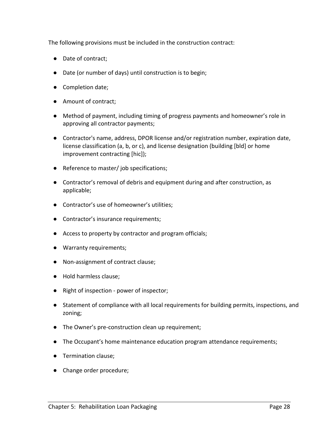The following provisions must be included in the construction contract:

- Date of contract;
- Date (or number of days) until construction is to begin;
- Completion date;
- Amount of contract;
- Method of payment, including timing of progress payments and homeowner's role in approving all contractor payments;
- Contractor's name, address, DPOR license and/or registration number, expiration date, license classification (a, b, or c), and license designation (building [bld] or home improvement contracting [hic]);
- Reference to master/ job specifications;
- Contractor's removal of debris and equipment during and after construction, as applicable;
- Contractor's use of homeowner's utilities;
- Contractor's insurance requirements;
- Access to property by contractor and program officials;
- Warranty requirements;
- Non-assignment of contract clause;
- Hold harmless clause;
- Right of inspection power of inspector;
- Statement of compliance with all local requirements for building permits, inspections, and zoning;
- The Owner's pre-construction clean up requirement;
- The Occupant's home maintenance education program attendance requirements;
- Termination clause;
- Change order procedure;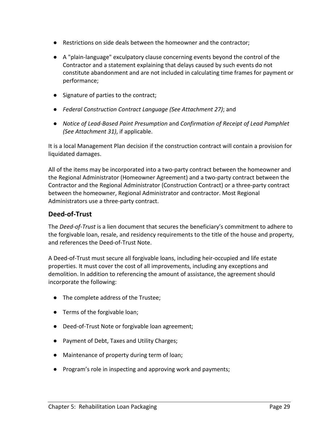- Restrictions on side deals between the homeowner and the contractor;
- A "plain-language" exculpatory clause concerning events beyond the control of the Contractor and a statement explaining that delays caused by such events do not constitute abandonment and are not included in calculating time frames for payment or performance;
- Signature of parties to the contract;
- *Federal Construction Contract Language (See Attachment 27)*; and
- *Notice of Lead-Based Paint Presumption* and *Confirmation of Receipt of Lead Pamphlet (See Attachment 31)*, if applicable.

It is a local Management Plan decision if the construction contract will contain a provision for liquidated damages.

All of the items may be incorporated into a two-party contract between the homeowner and the Regional Administrator (Homeowner Agreement) and a two-party contract between the Contractor and the Regional Administrator (Construction Contract) or a three-party contract between the homeowner, Regional Administrator and contractor. Most Regional Administrators use a three-party contract.

#### <span id="page-32-0"></span>**Deed-of-Trust**

The *Deed-of-Trust* is a lien document that secures the beneficiary's commitment to adhere to the forgivable loan, resale, and residency requirements to the title of the house and property, and references the Deed-of-Trust Note.

A Deed-of-Trust must secure all forgivable loans, including heir-occupied and life estate properties. It must cover the cost of all improvements, including any exceptions and demolition. In addition to referencing the amount of assistance, the agreement should incorporate the following:

- The complete address of the Trustee;
- Terms of the forgivable loan;
- Deed-of-Trust Note or forgivable loan agreement;
- Payment of Debt, Taxes and Utility Charges;
- Maintenance of property during term of loan;
- Program's role in inspecting and approving work and payments;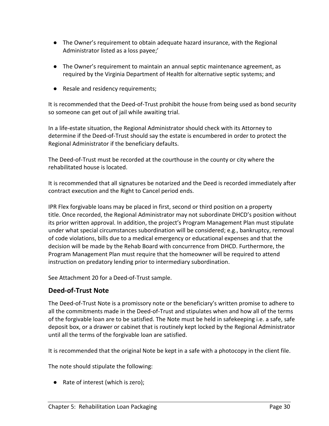- The Owner's requirement to obtain adequate hazard insurance, with the Regional Administrator listed as a loss payee;'
- The Owner's requirement to maintain an annual septic maintenance agreement, as required by the Virginia Department of Health for alternative septic systems; and
- Resale and residency requirements;

It is recommended that the Deed-of-Trust prohibit the house from being used as bond security so someone can get out of jail while awaiting trial.

In a life-estate situation, the Regional Administrator should check with its Attorney to determine if the Deed-of-Trust should say the estate is encumbered in order to protect the Regional Administrator if the beneficiary defaults.

The Deed-of-Trust must be recorded at the courthouse in the county or city where the rehabilitated house is located.

It is recommended that all signatures be notarized and the Deed is recorded immediately after contract execution and the Right to Cancel period ends.

IPR Flex forgivable loans may be placed in first, second or third position on a property title. Once recorded, the Regional Administrator may not subordinate DHCD's position without its prior written approval. In addition, the project's Program Management Plan must stipulate under what special circumstances subordination will be considered; e.g., bankruptcy, removal of code violations, bills due to a medical emergency or educational expenses and that the decision will be made by the Rehab Board with concurrence from DHCD. Furthermore, the Program Management Plan must require that the homeowner will be required to attend instruction on predatory lending prior to intermediary subordination.

See Attachment 20 for a Deed-of-Trust sample.

#### <span id="page-33-0"></span>**Deed-of-Trust Note**

The Deed-of-Trust Note is a promissory note or the beneficiary's written promise to adhere to all the commitments made in the Deed-of-Trust and stipulates when and how all of the terms of the forgivable loan are to be satisfied. The Note must be held in safekeeping i.e. a safe, safe deposit box, or a drawer or cabinet that is routinely kept locked by the Regional Administrator until all the terms of the forgivable loan are satisfied.

It is recommended that the original Note be kept in a safe with a photocopy in the client file.

The note should stipulate the following:

● Rate of interest (which is zero);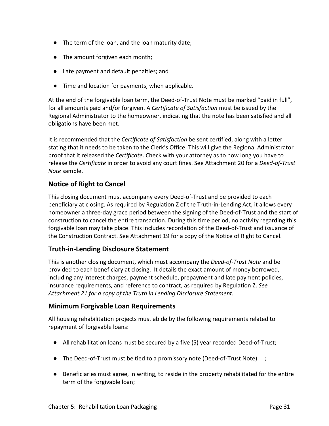- The term of the loan, and the loan maturity date;
- The amount forgiven each month;
- Late payment and default penalties; and
- Time and location for payments, when applicable.

At the end of the forgivable loan term, the Deed-of-Trust Note must be marked "paid in full", for all amounts paid and/or forgiven. A *Certificate of Satisfaction* must be issued by the Regional Administrator to the homeowner, indicating that the note has been satisfied and all obligations have been met.

It is recommended that the *Certificate of Satisfaction* be sent certified, along with a letter stating that it needs to be taken to the Clerk's Office. This will give the Regional Administrator proof that it released the *Certificate*. Check with your attorney as to how long you have to release the *Certificate* in order to avoid any court fines. See Attachment 20 for a *Deed-of-Trust Note* sample.

#### <span id="page-34-0"></span>**Notice of Right to Cancel**

This closing document must accompany every Deed-of-Trust and be provided to each beneficiary at closing. As required by Regulation Z of the Truth-in-Lending Act, it allows every homeowner a three-day grace period between the signing of the Deed-of-Trust and the start of construction to cancel the entire transaction. During this time period, no activity regarding this forgivable loan may take place. This includes recordation of the Deed-of-Trust and issuance of the Construction Contract. See Attachment 19 for a copy of the Notice of Right to Cancel.

#### <span id="page-34-1"></span>**Truth-in-Lending Disclosure Statement**

This is another closing document, which must accompany the *Deed-of-Trust Note* and be provided to each beneficiary at closing. It details the exact amount of money borrowed, including any interest charges, payment schedule, prepayment and late payment policies, insurance requirements, and reference to contract, as required by Regulation Z. *See Attachment 21 for a copy of the Truth in Lending Disclosure Statement.* 

#### <span id="page-34-2"></span>**Minimum Forgivable Loan Requirements**

All housing rehabilitation projects must abide by the following requirements related to repayment of forgivable loans:

- All rehabilitation loans must be secured by a five (5) year recorded Deed-of-Trust;
- The Deed-of-Trust must be tied to a promissory note (Deed-of-Trust Note) :
- Beneficiaries must agree, in writing, to reside in the property rehabilitated for the entire term of the forgivable loan;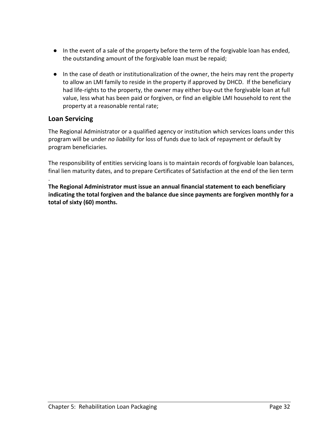- In the event of a sale of the property before the term of the forgivable loan has ended, the outstanding amount of the forgivable loan must be repaid;
- In the case of death or institutionalization of the owner, the heirs may rent the property to allow an LMI family to reside in the property if approved by DHCD. If the beneficiary had life-rights to the property, the owner may either buy-out the forgivable loan at full value, less what has been paid or forgiven, or find an eligible LMI household to rent the property at a reasonable rental rate;

#### <span id="page-35-0"></span>**Loan Servicing**

.

The Regional Administrator or a qualified agency or institution which services loans under this program will be under *no liability* for loss of funds due to lack of repayment or default by program beneficiaries.

The responsibility of entities servicing loans is to maintain records of forgivable loan balances, final lien maturity dates, and to prepare Certificates of Satisfaction at the end of the lien term

**The Regional Administrator must issue an annual financial statement to each beneficiary indicating the total forgiven and the balance due since payments are forgiven monthly for a total of sixty (60) months.**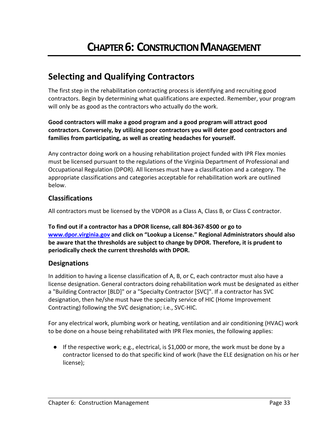## **Selecting and Qualifying Contractors**

The first step in the rehabilitation contracting process is identifying and recruiting good contractors. Begin by determining what qualifications are expected. Remember, your program will only be as good as the contractors who actually do the work.

#### **Good contractors will make a good program and a good program will attract good contractors. Conversely, by utilizing poor contractors you will deter good contractors and families from participating, as well as creating headaches for yourself.**

Any contractor doing work on a housing rehabilitation project funded with IPR Flex monies must be licensed pursuant to the regulations of the Virginia Department of Professional and Occupational Regulation (DPOR). All licenses must have a classification and a category. The appropriate classifications and categories acceptable for rehabilitation work are outlined below.

### **Classifications**

All contractors must be licensed by the VDPOR as a Class A, Class B, or Class C contractor.

**To find out if a contractor has a DPOR license, call 804-367-8500 or go to [www.dpor.virginia.gov](http://www.dpor.virginia.gov/) and click on "Lookup a License." Regional Administrators should also be aware that the thresholds are subject to change by DPOR. Therefore, it is prudent to periodically check the current thresholds with DPOR.**

### **Designations**

In addition to having a license classification of A, B, or C, each contractor must also have a license designation. General contractors doing rehabilitation work must be designated as either a "Building Contractor [BLD]" or a "Specialty Contractor [SVC]". If a contractor has SVC designation, then he/she must have the specialty service of HIC (Home Improvement Contracting) following the SVC designation; i.e., SVC-HIC.

For any electrical work, plumbing work or heating, ventilation and air conditioning (HVAC) work to be done on a house being rehabilitated with IPR Flex monies, the following applies:

 $\bullet$  If the respective work; e.g., electrical, is \$1,000 or more, the work must be done by a contractor licensed to do that specific kind of work (have the ELE designation on his or her license);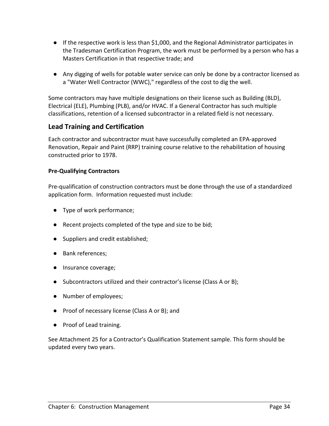- If the respective work is less than \$1,000, and the Regional Administrator participates in the Tradesman Certification Program, the work must be performed by a person who has a Masters Certification in that respective trade; and
- Any digging of wells for potable water service can only be done by a contractor licensed as a "Water Well Contractor (WWC)," regardless of the cost to dig the well.

Some contractors may have multiple designations on their license such as Building (BLD), Electrical (ELE), Plumbing (PLB), and/or HVAC. If a General Contractor has such multiple classifications, retention of a licensed subcontractor in a related field is not necessary.

### **Lead Training and Certification**

Each contractor and subcontractor must have successfully completed an EPA-approved Renovation, Repair and Paint (RRP) training course relative to the rehabilitation of housing constructed prior to 1978.

#### **Pre-Qualifying Contractors**

Pre-qualification of construction contractors must be done through the use of a standardized application form. Information requested must include:

- Type of work performance;
- Recent projects completed of the type and size to be bid;
- Suppliers and credit established;
- Bank references;
- Insurance coverage;
- Subcontractors utilized and their contractor's license (Class A or B);
- Number of employees;
- Proof of necessary license (Class A or B); and
- Proof of Lead training.

See Attachment 25 for a Contractor's Qualification Statement sample. This form should be updated every two years.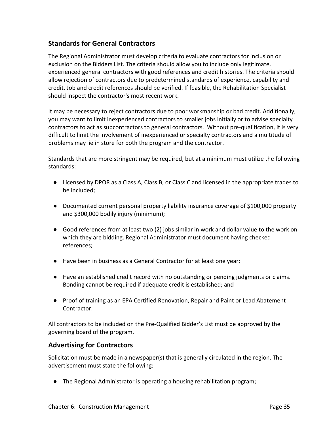### **Standards for General Contractors**

The Regional Administrator must develop criteria to evaluate contractors for inclusion or exclusion on the Bidders List. The criteria should allow you to include only legitimate, experienced general contractors with good references and credit histories. The criteria should allow rejection of contractors due to predetermined standards of experience, capability and credit. Job and credit references should be verified. If feasible, the Rehabilitation Specialist should inspect the contractor's most recent work.

It may be necessary to reject contractors due to poor workmanship or bad credit. Additionally, you may want to limit inexperienced contractors to smaller jobs initially or to advise specialty contractors to act as subcontractors to general contractors. Without pre-qualification, it is very difficult to limit the involvement of inexperienced or specialty contractors and a multitude of problems may lie in store for both the program and the contractor.

Standards that are more stringent may be required, but at a minimum must utilize the following standards:

- Licensed by DPOR as a Class A, Class B, or Class C and licensed in the appropriate trades to be included;
- Documented current personal property liability insurance coverage of \$100,000 property and \$300,000 bodily injury (minimum);
- Good references from at least two (2) jobs similar in work and dollar value to the work on which they are bidding. Regional Administrator must document having checked references;
- Have been in business as a General Contractor for at least one year;
- Have an established credit record with no outstanding or pending judgments or claims. Bonding cannot be required if adequate credit is established; and
- Proof of training as an EPA Certified Renovation, Repair and Paint or Lead Abatement Contractor.

All contractors to be included on the Pre-Qualified Bidder's List must be approved by the governing board of the program.

### **Advertising for Contractors**

Solicitation must be made in a newspaper(s) that is generally circulated in the region. The advertisement must state the following:

● The Regional Administrator is operating a housing rehabilitation program;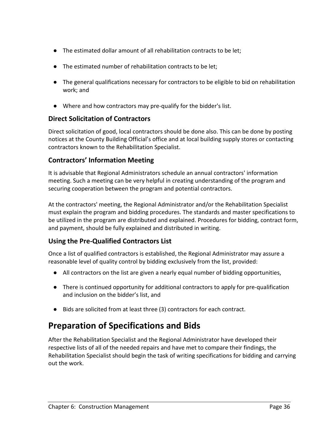- The estimated dollar amount of all rehabilitation contracts to be let;
- The estimated number of rehabilitation contracts to be let:
- The general qualifications necessary for contractors to be eligible to bid on rehabilitation work; and
- Where and how contractors may pre-qualify for the bidder's list.

### **Direct Solicitation of Contractors**

Direct solicitation of good, local contractors should be done also. This can be done by posting notices at the County Building Official's office and at local building supply stores or contacting contractors known to the Rehabilitation Specialist.

### **Contractors' Information Meeting**

It is advisable that Regional Administrators schedule an annual contractors' information meeting. Such a meeting can be very helpful in creating understanding of the program and securing cooperation between the program and potential contractors.

At the contractors' meeting, the Regional Administrator and/or the Rehabilitation Specialist must explain the program and bidding procedures. The standards and master specifications to be utilized in the program are distributed and explained. Procedures for bidding, contract form, and payment, should be fully explained and distributed in writing.

## **Using the Pre-Qualified Contractors List**

Once a list of qualified contractors is established, the Regional Administrator may assure a reasonable level of quality control by bidding exclusively from the list, provided:

- All contractors on the list are given a nearly equal number of bidding opportunities,
- There is continued opportunity for additional contractors to apply for pre-qualification and inclusion on the bidder's list, and
- Bids are solicited from at least three (3) contractors for each contract.

## **Preparation of Specifications and Bids**

After the Rehabilitation Specialist and the Regional Administrator have developed their respective lists of all of the needed repairs and have met to compare their findings, the Rehabilitation Specialist should begin the task of writing specifications for bidding and carrying out the work.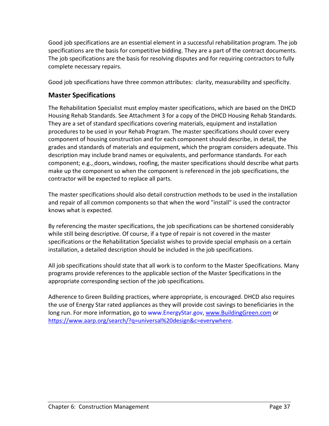Good job specifications are an essential element in a successful rehabilitation program. The job specifications are the basis for competitive bidding. They are a part of the contract documents. The job specifications are the basis for resolving disputes and for requiring contractors to fully complete necessary repairs.

Good job specifications have three common attributes: clarity, measurability and specificity.

### **Master Specifications**

The Rehabilitation Specialist must employ master specifications, which are based on the DHCD Housing Rehab Standards. See Attachment 3 for a copy of the DHCD Housing Rehab Standards. They are a set of standard specifications covering materials, equipment and installation procedures to be used in your Rehab Program. The master specifications should cover every component of housing construction and for each component should describe, in detail, the grades and standards of materials and equipment, which the program considers adequate. This description may include brand names or equivalents, and performance standards. For each component; e.g., doors, windows, roofing, the master specifications should describe what parts make up the component so when the component is referenced in the job specifications, the contractor will be expected to replace all parts.

The master specifications should also detail construction methods to be used in the installation and repair of all common components so that when the word "install" is used the contractor knows what is expected.

By referencing the master specifications, the job specifications can be shortened considerably while still being descriptive. Of course, if a type of repair is not covered in the master specifications or the Rehabilitation Specialist wishes to provide special emphasis on a certain installation, a detailed description should be included in the job specifications.

All job specifications should state that all work is to conform to the Master Specifications. Many programs provide references to the applicable section of the Master Specifications in the appropriate corresponding section of the job specifications.

Adherence to Green Building practices, where appropriate, is encouraged. DHCD also requires the use of Energy Star rated appliances as they will provide cost savings to beneficiaries in the long run. For more information, go to [www.EnergyStar.gov,](http://www.energystar.gov/) [www.BuildingGreen.com](http://www.buildinggreen.com/) or [https://www.aarp.org/search/?q=universal%20design&c=everywhere.](https://www.aarp.org/search/?q=universal%20design&c=everywhere)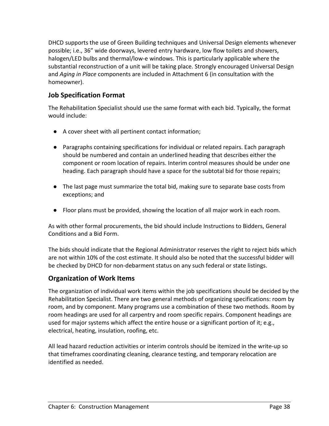DHCD supports the use of Green Building techniques and Universal Design elements whenever possible; i.e., 36" wide doorways, levered entry hardware, low flow toilets and showers, halogen/LED bulbs and thermal/low-e windows. This is particularly applicable where the substantial reconstruction of a unit will be taking place. Strongly encouraged Universal Design and *Aging in Place* components are included in Attachment 6 (in consultation with the homeowner).

### **Job Specification Format**

The Rehabilitation Specialist should use the same format with each bid. Typically, the format would include:

- A cover sheet with all pertinent contact information;
- Paragraphs containing specifications for individual or related repairs. Each paragraph should be numbered and contain an underlined heading that describes either the component or room location of repairs. Interim control measures should be under one heading. Each paragraph should have a space for the subtotal bid for those repairs;
- The last page must summarize the total bid, making sure to separate base costs from exceptions; and
- Floor plans must be provided, showing the location of all major work in each room.

As with other formal procurements, the bid should include Instructions to Bidders, General Conditions and a Bid Form.

The bids should indicate that the Regional Administrator reserves the right to reject bids which are not within 10% of the cost estimate. It should also be noted that the successful bidder will be checked by DHCD for non-debarment status on any such federal or state listings.

### **Organization of Work Items**

The organization of individual work items within the job specifications should be decided by the Rehabilitation Specialist. There are two general methods of organizing specifications: room by room, and by component. Many programs use a combination of these two methods. Room by room headings are used for all carpentry and room specific repairs. Component headings are used for major systems which affect the entire house or a significant portion of it; e.g., electrical, heating, insulation, roofing, etc.

All lead hazard reduction activities or interim controls should be itemized in the write-up so that timeframes coordinating cleaning, clearance testing, and temporary relocation are identified as needed.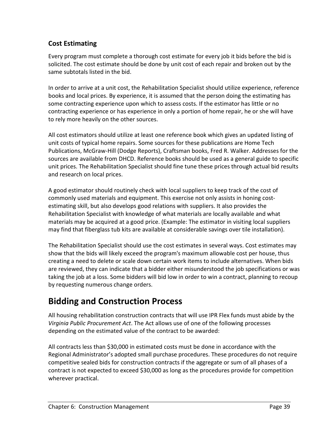## **Cost Estimating**

Every program must complete a thorough cost estimate for every job it bids before the bid is solicited. The cost estimate should be done by unit cost of each repair and broken out by the same subtotals listed in the bid.

In order to arrive at a unit cost, the Rehabilitation Specialist should utilize experience, reference books and local prices. By experience, it is assumed that the person doing the estimating has some contracting experience upon which to assess costs. If the estimator has little or no contracting experience or has experience in only a portion of home repair, he or she will have to rely more heavily on the other sources.

All cost estimators should utilize at least one reference book which gives an updated listing of unit costs of typical home repairs. Some sources for these publications are Home Tech Publications, McGraw-Hill (Dodge Reports), Craftsman books, Fred R. Walker. Addresses for the sources are available from DHCD. Reference books should be used as a general guide to specific unit prices. The Rehabilitation Specialist should fine tune these prices through actual bid results and research on local prices.

A good estimator should routinely check with local suppliers to keep track of the cost of commonly used materials and equipment. This exercise not only assists in honing costestimating skill, but also develops good relations with suppliers. It also provides the Rehabilitation Specialist with knowledge of what materials are locally available and what materials may be acquired at a good price. (Example: The estimator in visiting local suppliers may find that fiberglass tub kits are available at considerable savings over tile installation).

The Rehabilitation Specialist should use the cost estimates in several ways. Cost estimates may show that the bids will likely exceed the program's maximum allowable cost per house, thus creating a need to delete or scale down certain work items to include alternatives. When bids are reviewed, they can indicate that a bidder either misunderstood the job specifications or was taking the job at a loss. Some bidders will bid low in order to win a contract, planning to recoup by requesting numerous change orders.

## **Bidding and Construction Process**

All housing rehabilitation construction contracts that will use IPR Flex funds must abide by the *Virginia Public Procurement Act*. The Act allows use of one of the following processes depending on the estimated value of the contract to be awarded:

All contracts less than \$30,000 in estimated costs must be done in accordance with the Regional Administrator's adopted small purchase procedures. These procedures do not require competitive sealed bids for construction contracts if the aggregate or sum of all phases of a contract is not expected to exceed \$30,000 as long as the procedures provide for competition wherever practical.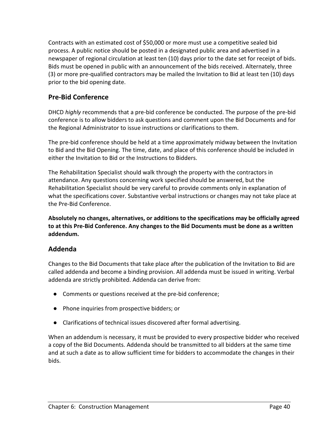Contracts with an estimated cost of \$50,000 or more must use a competitive sealed bid process. A public notice should be posted in a designated public area and advertised in a newspaper of regional circulation at least ten (10) days prior to the date set for receipt of bids. Bids must be opened in public with an announcement of the bids received. Alternately, three (3) or more pre-qualified contractors may be mailed the Invitation to Bid at least ten (10) days prior to the bid opening date.

### **Pre-Bid Conference**

DHCD *highly* recommends that a pre-bid conference be conducted. The purpose of the pre-bid conference is to allow bidders to ask questions and comment upon the Bid Documents and for the Regional Administrator to issue instructions or clarifications to them.

The pre-bid conference should be held at a time approximately midway between the Invitation to Bid and the Bid Opening. The time, date, and place of this conference should be included in either the Invitation to Bid or the Instructions to Bidders.

The Rehabilitation Specialist should walk through the property with the contractors in attendance. Any questions concerning work specified should be answered, but the Rehabilitation Specialist should be very careful to provide comments only in explanation of what the specifications cover. Substantive verbal instructions or changes may not take place at the Pre-Bid Conference.

**Absolutely no changes, alternatives, or additions to the specifications may be officially agreed to at this Pre-Bid Conference. Any changes to the Bid Documents must be done as a written addendum.**

### **Addenda**

Changes to the Bid Documents that take place after the publication of the Invitation to Bid are called addenda and become a binding provision. All addenda must be issued in writing. Verbal addenda are strictly prohibited. Addenda can derive from:

- Comments or questions received at the pre-bid conference;
- Phone inquiries from prospective bidders; or
- Clarifications of technical issues discovered after formal advertising.

When an addendum is necessary, it must be provided to every prospective bidder who received a copy of the Bid Documents. Addenda should be transmitted to all bidders at the same time and at such a date as to allow sufficient time for bidders to accommodate the changes in their bids.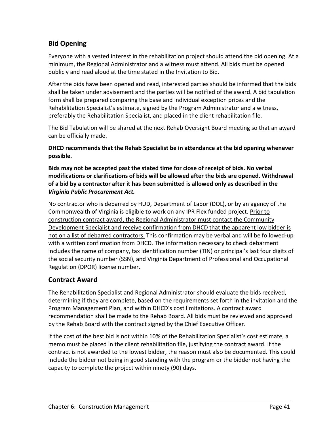## **Bid Opening**

Everyone with a vested interest in the rehabilitation project should attend the bid opening. At a minimum, the Regional Administrator and a witness must attend. All bids must be opened publicly and read aloud at the time stated in the Invitation to Bid.

After the bids have been opened and read, interested parties should be informed that the bids shall be taken under advisement and the parties will be notified of the award. A bid tabulation form shall be prepared comparing the base and individual exception prices and the Rehabilitation Specialist's estimate, signed by the Program Administrator and a witness, preferably the Rehabilitation Specialist, and placed in the client rehabilitation file.

The Bid Tabulation will be shared at the next Rehab Oversight Board meeting so that an award can be officially made.

**DHCD recommends that the Rehab Specialist be in attendance at the bid opening whenever possible.**

**Bids may not be accepted past the stated time for close of receipt of bids. No verbal modifications or clarifications of bids will be allowed after the bids are opened. Withdrawal of a bid by a contractor after it has been submitted is allowed only as described in the**  *Virginia Public Procurement Act.*

No contractor who is debarred by HUD, Department of Labor (DOL), or by an agency of the Commonwealth of Virginia is eligible to work on any IPR Flex funded project. Prior to construction contract award, the Regional Administrator must contact the Community Development Specialist and receive confirmation from DHCD that the apparent low bidder is not on a list of debarred contractors. This confirmation may be verbal and will be followed-up with a written confirmation from DHCD. The information necessary to check debarment includes the name of company, tax identification number (TIN) or principal's last four digits of the social security number (SSN), and Virginia Department of Professional and Occupational Regulation (DPOR) license number.

### **Contract Award**

The Rehabilitation Specialist and Regional Administrator should evaluate the bids received, determining if they are complete, based on the requirements set forth in the invitation and the Program Management Plan, and within DHCD's cost limitations. A contract award recommendation shall be made to the Rehab Board. All bids must be reviewed and approved by the Rehab Board with the contract signed by the Chief Executive Officer.

If the cost of the best bid is not within 10% of the Rehabilitation Specialist's cost estimate, a memo must be placed in the client rehabilitation file, justifying the contract award. If the contract is not awarded to the lowest bidder, the reason must also be documented. This could include the bidder not being in good standing with the program or the bidder not having the capacity to complete the project within ninety (90) days.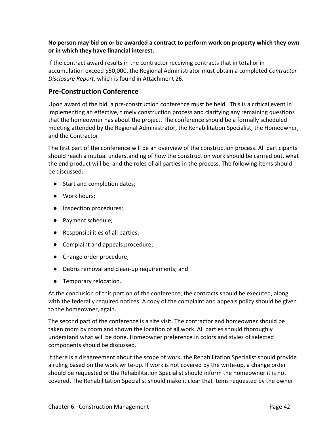#### **No person may bid on or be awarded a contract to perform work on property which they own or in which they have financial interest.**

If the contract award results in the contractor receiving contracts that in total or in accumulation exceed \$50,000, the Regional Administrator must obtain a completed *Contractor Disclosure Report*, which is found in Attachment 26.

### **Pre-Construction Conference**

Upon award of the bid, a pre-construction conference must be held. This is a critical event in implementing an effective, timely construction process and clarifying any remaining questions that the homeowner has about the project. The conference should be a formally scheduled meeting attended by the Regional Administrator, the Rehabilitation Specialist, the Homeowner, and the Contractor.

The first part of the conference will be an overview of the construction process. All participants should reach a mutual understanding of how the construction work should be carried out, what the end product will be, and the roles of all parties in the process. The following items should be discussed:

- Start and completion dates;
- Work hours;
- Inspection procedures;
- Payment schedule;
- Responsibilities of all parties;
- Complaint and appeals procedure;
- Change order procedure;
- Debris removal and clean-up requirements; and
- Temporary relocation.

At the conclusion of this portion of the conference, the contracts should be executed, along with the federally required notices. A copy of the complaint and appeals policy should be given to the homeowner, again.

The second part of the conference is a site visit. The contractor and homeowner should be taken room by room and shown the location of all work. All parties should thoroughly understand what will be done. Homeowner preference in colors and styles of selected components should be discussed.

If there is a disagreement about the scope of work, the Rehabilitation Specialist should provide a ruling based on the work write-up. If work is not covered by the write-up, a change order should be requested or the Rehabilitation Specialist should inform the homeowner it is not covered. The Rehabilitation Specialist should make it clear that items requested by the owner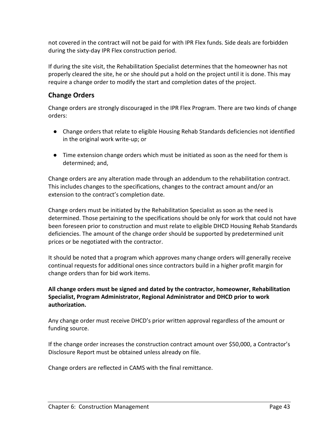not covered in the contract will not be paid for with IPR Flex funds. Side deals are forbidden during the sixty-day IPR Flex construction period.

If during the site visit, the Rehabilitation Specialist determines that the homeowner has not properly cleared the site, he or she should put a hold on the project until it is done. This may require a change order to modify the start and completion dates of the project.

### **Change Orders**

Change orders are strongly discouraged in the IPR Flex Program. There are two kinds of change orders:

- Change orders that relate to eligible Housing Rehab Standards deficiencies not identified in the original work write-up; or
- Time extension change orders which must be initiated as soon as the need for them is determined; and,

Change orders are any alteration made through an addendum to the rehabilitation contract. This includes changes to the specifications, changes to the contract amount and/or an extension to the contract's completion date.

Change orders must be initiated by the Rehabilitation Specialist as soon as the need is determined. Those pertaining to the specifications should be only for work that could not have been foreseen prior to construction and must relate to eligible DHCD Housing Rehab Standards deficiencies. The amount of the change order should be supported by predetermined unit prices or be negotiated with the contractor.

It should be noted that a program which approves many change orders will generally receive continual requests for additional ones since contractors build in a higher profit margin for change orders than for bid work items.

**All change orders must be signed and dated by the contractor, homeowner, Rehabilitation Specialist, Program Administrator, Regional Administrator and DHCD prior to work authorization.** 

Any change order must receive DHCD's prior written approval regardless of the amount or funding source.

If the change order increases the construction contract amount over \$50,000, a Contractor's Disclosure Report must be obtained unless already on file.

Change orders are reflected in CAMS with the final remittance.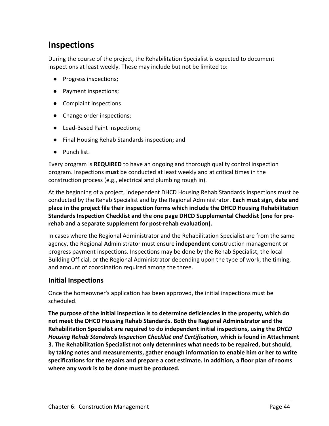## **Inspections**

During the course of the project, the Rehabilitation Specialist is expected to document inspections at least weekly. These may include but not be limited to:

- Progress inspections;
- Payment inspections;
- Complaint inspections
- Change order inspections;
- Lead-Based Paint inspections;
- Final Housing Rehab Standards inspection; and
- Punch list.

Every program is **REQUIRED** to have an ongoing and thorough quality control inspection program. Inspections **must** be conducted at least weekly and at critical times in the construction process (e.g., electrical and plumbing rough in).

At the beginning of a project, independent DHCD Housing Rehab Standards inspections must be conducted by the Rehab Specialist and by the Regional Administrator. **Each must sign, date and place in the project file their inspection forms which include the DHCD Housing Rehabilitation Standards Inspection Checklist and the one page DHCD Supplemental Checklist (one for prerehab and a separate supplement for post-rehab evaluation).**

In cases where the Regional Administrator and the Rehabilitation Specialist are from the same agency, the Regional Administrator must ensure **independent** construction management or progress payment inspections. Inspections may be done by the Rehab Specialist, the local Building Official, or the Regional Administrator depending upon the type of work, the timing, and amount of coordination required among the three.

### **Initial Inspections**

Once the homeowner's application has been approved, the initial inspections must be scheduled.

**The purpose of the initial inspection is to determine deficiencies in the property, which do not meet the DHCD Housing Rehab Standards. Both the Regional Administrator and the Rehabilitation Specialist are required to do independent initial inspections, using the** *DHCD Housing Rehab Standards Inspection Checklist and Certification***, which is found in Attachment 3. The Rehabilitation Specialist not only determines what needs to be repaired, but should, by taking notes and measurements, gather enough information to enable him or her to write specifications for the repairs and prepare a cost estimate. In addition, a floor plan of rooms where any work is to be done must be produced.**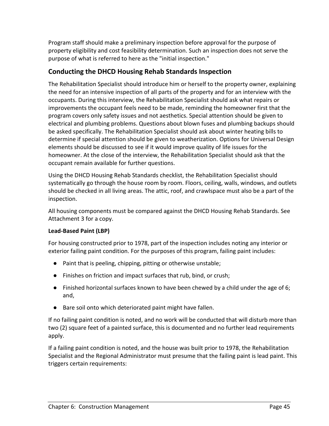Program staff should make a preliminary inspection before approval for the purpose of property eligibility and cost feasibility determination. Such an inspection does not serve the purpose of what is referred to here as the "initial inspection."

### **Conducting the DHCD Housing Rehab Standards Inspection**

The Rehabilitation Specialist should introduce him or herself to the property owner, explaining the need for an intensive inspection of all parts of the property and for an interview with the occupants. During this interview, the Rehabilitation Specialist should ask what repairs or improvements the occupant feels need to be made, reminding the homeowner first that the program covers only safety issues and not aesthetics. Special attention should be given to electrical and plumbing problems. Questions about blown fuses and plumbing backups should be asked specifically. The Rehabilitation Specialist should ask about winter heating bills to determine if special attention should be given to weatherization. Options for Universal Design elements should be discussed to see if it would improve quality of life issues for the homeowner. At the close of the interview, the Rehabilitation Specialist should ask that the occupant remain available for further questions.

Using the DHCD Housing Rehab Standards checklist, the Rehabilitation Specialist should systematically go through the house room by room. Floors, ceiling, walls, windows, and outlets should be checked in all living areas. The attic, roof, and crawlspace must also be a part of the inspection.

All housing components must be compared against the DHCD Housing Rehab Standards. See Attachment 3 for a copy.

### **Lead-Based Paint (LBP)**

For housing constructed prior to 1978, part of the inspection includes noting any interior or exterior failing paint condition. For the purposes of this program, failing paint includes:

- Paint that is peeling, chipping, pitting or otherwise unstable;
- Finishes on friction and impact surfaces that rub, bind, or crush;
- Finished horizontal surfaces known to have been chewed by a child under the age of 6; and,
- Bare soil onto which deteriorated paint might have fallen.

If no failing paint condition is noted, and no work will be conducted that will disturb more than two (2) square feet of a painted surface, this is documented and no further lead requirements apply.

If a failing paint condition is noted, and the house was built prior to 1978, the Rehabilitation Specialist and the Regional Administrator must presume that the failing paint is lead paint. This triggers certain requirements: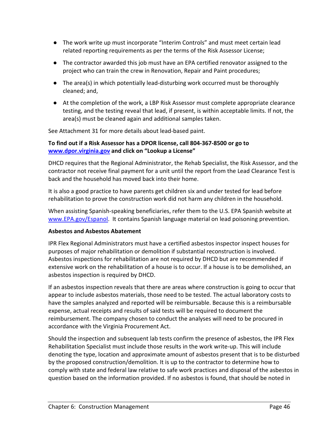- The work write up must incorporate "Interim Controls" and must meet certain lead related reporting requirements as per the terms of the Risk Assessor License;
- The contractor awarded this job must have an EPA certified renovator assigned to the project who can train the crew in Renovation, Repair and Paint procedures;
- The area(s) in which potentially lead-disturbing work occurred must be thoroughly cleaned; and,
- At the completion of the work, a LBP Risk Assessor must complete appropriate clearance testing, and the testing reveal that lead, if present, is within acceptable limits. If not, the area(s) must be cleaned again and additional samples taken.

See Attachment 31 for more details about lead-based paint.

#### **To find out if a Risk Assessor has a DPOR license, call 804-367-8500 or go to [www.dpor.virginia.gov](http://www.dpor.virginia.gov/) and click on "Lookup a License"**

DHCD requires that the Regional Administrator, the Rehab Specialist, the Risk Assessor, and the contractor not receive final payment for a unit until the report from the Lead Clearance Test is back and the household has moved back into their home.

It is also a good practice to have parents get children six and under tested for lead before rehabilitation to prove the construction work did not harm any children in the household.

When assisting Spanish-speaking beneficiaries, refer them to the U.S. EPA Spanish website at [www.EPA.gov/Espanol.](http://www.epa.gov/Espanol) It contains Spanish language material on lead poisoning prevention.

#### **Asbestos and Asbestos Abatement**

IPR Flex Regional Administrators must have a certified asbestos inspector inspect houses for purposes of major rehabilitation or demolition if substantial reconstruction is involved. Asbestos inspections for rehabilitation are not required by DHCD but are recommended if extensive work on the rehabilitation of a house is to occur. If a house is to be demolished, an asbestos inspection is required by DHCD.

If an asbestos inspection reveals that there are areas where construction is going to occur that appear to include asbestos materials, those need to be tested. The actual laboratory costs to have the samples analyzed and reported will be reimbursable. Because this is a reimbursable expense, actual receipts and results of said tests will be required to document the reimbursement. The company chosen to conduct the analyses will need to be procured in accordance with the Virginia Procurement Act.

Should the inspection and subsequent lab tests confirm the presence of asbestos, the IPR Flex Rehabilitation Specialist must include those results in the work write-up. This will include denoting the type, location and approximate amount of asbestos present that is to be disturbed by the proposed construction/demolition. It is up to the contractor to determine how to comply with state and federal law relative to safe work practices and disposal of the asbestos in question based on the information provided. If no asbestos is found, that should be noted in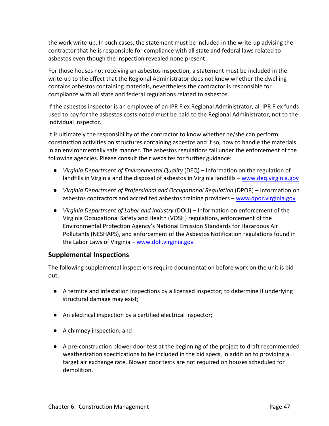the work write-up. In such cases, the statement must be included in the write-up advising the contractor that he is responsible for compliance with all state and federal laws related to asbestos even though the inspection revealed none present.

For those houses not receiving an asbestos inspection, a statement must be included in the write-up to the effect that the Regional Administrator does not know whether the dwelling contains asbestos containing materials, nevertheless the contractor is responsible for compliance with all state and federal regulations related to asbestos.

If the asbestos inspector is an employee of an IPR Flex Regional Administrator, all IPR Flex funds used to pay for the asbestos costs noted must be paid to the Regional Administrator, not to the individual inspector.

It is ultimately the responsibility of the contractor to know whether he/she can perform construction activities on structures containing asbestos and if so, how to handle the materials in an environmentally safe manner. The asbestos regulations fall under the enforcement of the following agencies. Please consult their websites for further guidance:

- *Virginia Department of Environmental Quality* (DEQ) Information on the regulation of landfills in Virginia and the disposal of asbestos in Virginia landfills – [www.deq.virginia.gov](http://www.deq.virginia.gov/)
- *Virginia Department of Professional and Occupational Regulation* (DPOR) Information on asbestos contractors and accredited asbestos training providers – [www.dpor.virginia.gov](http://www.dpor.virginia.gov/)
- *Virginia Department of Labor and Industry* (DOLI) Information on enforcement of the Virginia Occupational Safety and Health (VOSH) regulations, enforcement of the Environmental Protection Agency's National Emission Standards for Hazardous Air Pollutants (NESHAPS), and enforcement of the Asbestos Notification regulations found in the Labor Laws of Virginia – [www.doli.virginia.gov](http://www.doli.virginia.gov/)

### **Supplemental Inspections**

The following supplemental inspections require documentation before work on the unit is bid out:

- A termite and infestation inspections by a licensed inspector; to determine if underlying structural damage may exist;
- An electrical inspection by a certified electrical inspector;
- A chimney inspection; and
- A pre-construction blower door test at the beginning of the project to draft recommended weatherization specifications to be included in the bid specs, in addition to providing a target air exchange rate. Blower door tests are not required on houses scheduled for demolition.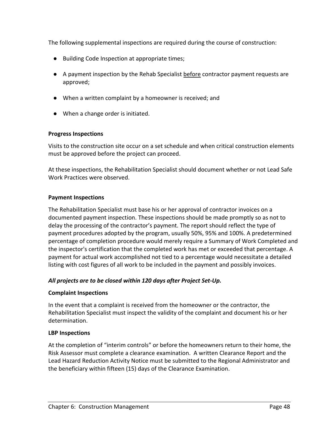The following supplemental inspections are required during the course of construction:

- Building Code Inspection at appropriate times;
- A payment inspection by the Rehab Specialist before contractor payment requests are approved;
- When a written complaint by a homeowner is received; and
- When a change order is initiated.

#### **Progress Inspections**

Visits to the construction site occur on a set schedule and when critical construction elements must be approved before the project can proceed.

At these inspections, the Rehabilitation Specialist should document whether or not Lead Safe Work Practices were observed.

#### **Payment Inspections**

The Rehabilitation Specialist must base his or her approval of contractor invoices on a documented payment inspection. These inspections should be made promptly so as not to delay the processing of the contractor's payment. The report should reflect the type of payment procedures adopted by the program, usually 50%, 95% and 100%. A predetermined percentage of completion procedure would merely require a Summary of Work Completed and the inspector's certification that the completed work has met or exceeded that percentage. A payment for actual work accomplished not tied to a percentage would necessitate a detailed listing with cost figures of all work to be included in the payment and possibly invoices.

### *All projects are to be closed within 120 days after Project Set-Up.*

#### **Complaint Inspections**

In the event that a complaint is received from the homeowner or the contractor, the Rehabilitation Specialist must inspect the validity of the complaint and document his or her determination.

#### **LBP Inspections**

At the completion of "interim controls" or before the homeowners return to their home, the Risk Assessor must complete a clearance examination. A written Clearance Report and the Lead Hazard Reduction Activity Notice must be submitted to the Regional Administrator and the beneficiary within fifteen (15) days of the Clearance Examination.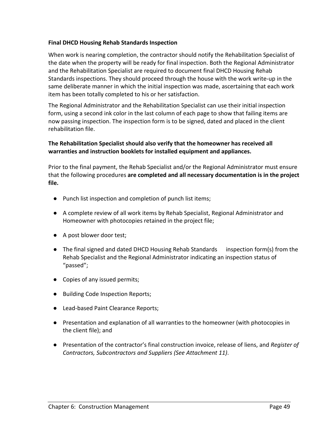#### **Final DHCD Housing Rehab Standards Inspection**

When work is nearing completion, the contractor should notify the Rehabilitation Specialist of the date when the property will be ready for final inspection. Both the Regional Administrator and the Rehabilitation Specialist are required to document final DHCD Housing Rehab Standards inspections. They should proceed through the house with the work write-up in the same deliberate manner in which the initial inspection was made, ascertaining that each work item has been totally completed to his or her satisfaction.

The Regional Administrator and the Rehabilitation Specialist can use their initial inspection form, using a second ink color in the last column of each page to show that failing items are now passing inspection. The inspection form is to be signed, dated and placed in the client rehabilitation file.

#### **The Rehabilitation Specialist should also verify that the homeowner has received all warranties and instruction booklets for installed equipment and appliances.**

Prior to the final payment, the Rehab Specialist and/or the Regional Administrator must ensure that the following procedures **are completed and all necessary documentation is in the project file.**

- Punch list inspection and completion of punch list items;
- A complete review of all work items by Rehab Specialist, Regional Administrator and Homeowner with photocopies retained in the project file;
- A post blower door test;
- The final signed and dated DHCD Housing Rehab Standards inspection form(s) from the Rehab Specialist and the Regional Administrator indicating an inspection status of "passed";
- Copies of any issued permits;
- Building Code Inspection Reports;
- Lead-based Paint Clearance Reports;
- Presentation and explanation of all warranties to the homeowner (with photocopies in the client file); and
- Presentation of the contractor's final construction invoice, release of liens, and *Register of Contractors, Subcontractors and Suppliers (See Attachment 11)*.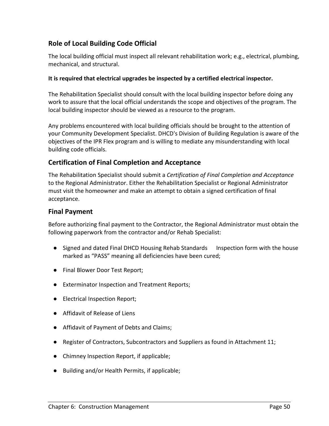### **Role of Local Building Code Official**

The local building official must inspect all relevant rehabilitation work; e.g., electrical, plumbing, mechanical, and structural.

#### **It is required that electrical upgrades be inspected by a certified electrical inspector.**

The Rehabilitation Specialist should consult with the local building inspector before doing any work to assure that the local official understands the scope and objectives of the program. The local building inspector should be viewed as a resource to the program.

Any problems encountered with local building officials should be brought to the attention of your Community Development Specialist. DHCD's Division of Building Regulation is aware of the objectives of the IPR Flex program and is willing to mediate any misunderstanding with local building code officials.

### **Certification of Final Completion and Acceptance**

The Rehabilitation Specialist should submit a *Certification of Final Completion and Acceptance*  to the Regional Administrator. Either the Rehabilitation Specialist or Regional Administrator must visit the homeowner and make an attempt to obtain a signed certification of final acceptance.

### **Final Payment**

Before authorizing final payment to the Contractor, the Regional Administrator must obtain the following paperwork from the contractor and/or Rehab Specialist:

- Signed and dated Final DHCD Housing Rehab Standards Inspection form with the house marked as "PASS" meaning all deficiencies have been cured;
- Final Blower Door Test Report;
- Exterminator Inspection and Treatment Reports;
- Electrical Inspection Report;
- Affidavit of Release of Liens
- Affidavit of Payment of Debts and Claims;
- Register of Contractors, Subcontractors and Suppliers as found in Attachment 11;
- Chimney Inspection Report, if applicable;
- Building and/or Health Permits, if applicable;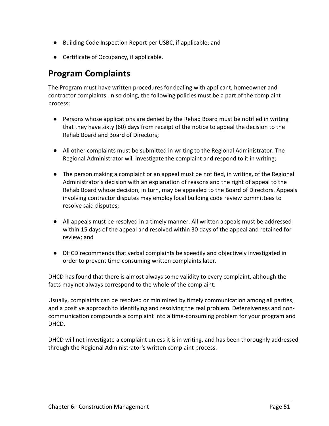- Building Code Inspection Report per USBC, if applicable; and
- Certificate of Occupancy, if applicable.

## **Program Complaints**

The Program must have written procedures for dealing with applicant, homeowner and contractor complaints. In so doing, the following policies must be a part of the complaint process:

- Persons whose applications are denied by the Rehab Board must be notified in writing that they have sixty (60) days from receipt of the notice to appeal the decision to the Rehab Board and Board of Directors;
- All other complaints must be submitted in writing to the Regional Administrator. The Regional Administrator will investigate the complaint and respond to it in writing;
- The person making a complaint or an appeal must be notified, in writing, of the Regional Administrator's decision with an explanation of reasons and the right of appeal to the Rehab Board whose decision, in turn, may be appealed to the Board of Directors. Appeals involving contractor disputes may employ local building code review committees to resolve said disputes;
- All appeals must be resolved in a timely manner. All written appeals must be addressed within 15 days of the appeal and resolved within 30 days of the appeal and retained for review; and
- DHCD recommends that verbal complaints be speedily and objectively investigated in order to prevent time-consuming written complaints later.

DHCD has found that there is almost always some validity to every complaint, although the facts may not always correspond to the whole of the complaint.

Usually, complaints can be resolved or minimized by timely communication among all parties, and a positive approach to identifying and resolving the real problem. Defensiveness and noncommunication compounds a complaint into a time-consuming problem for your program and DHCD.

DHCD will not investigate a complaint unless it is in writing, and has been thoroughly addressed through the Regional Administrator's written complaint process.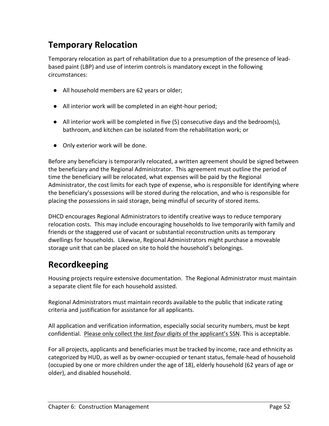## **Temporary Relocation**

Temporary relocation as part of rehabilitation due to a presumption of the presence of leadbased paint (LBP) and use of interim controls is mandatory except in the following circumstances:

- All household members are 62 years or older;
- All interior work will be completed in an eight-hour period;
- All interior work will be completed in five (5) consecutive days and the bedroom(s), bathroom, and kitchen can be isolated from the rehabilitation work; or
- Only exterior work will be done.

Before any beneficiary is temporarily relocated, a written agreement should be signed between the beneficiary and the Regional Administrator. This agreement must outline the period of time the beneficiary will be relocated, what expenses will be paid by the Regional Administrator, the cost limits for each type of expense, who is responsible for identifying where the beneficiary's possessions will be stored during the relocation, and who is responsible for placing the possessions in said storage, being mindful of security of stored items.

DHCD encourages Regional Administrators to identify creative ways to reduce temporary relocation costs. This may include encouraging households to live temporarily with family and friends or the staggered use of vacant or substantial reconstruction units as temporary dwellings for households. Likewise, Regional Administrators might purchase a moveable storage unit that can be placed on site to hold the household's belongings.

## **Recordkeeping**

Housing projects require extensive documentation. The Regional Administrator must maintain a separate client file for each household assisted.

Regional Administrators must maintain records available to the public that indicate rating criteria and justification for assistance for all applicants.

All application and verification information, especially social security numbers, must be kept confidential. Please only collect the *last four digits* of the applicant's SSN. This is acceptable.

For all projects, applicants and beneficiaries must be tracked by income, race and ethnicity as categorized by HUD, as well as by owner-occupied or tenant status, female-head of household (occupied by one or more children under the age of 18), elderly household (62 years of age or older), and disabled household.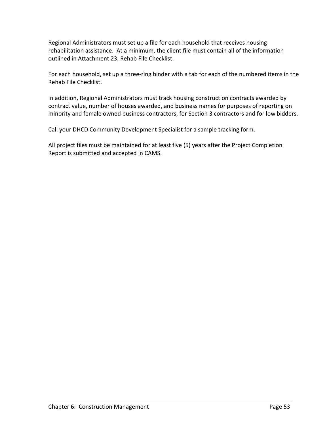Regional Administrators must set up a file for each household that receives housing rehabilitation assistance. At a minimum, the client file must contain all of the information outlined in Attachment 23, Rehab File Checklist.

For each household, set up a three-ring binder with a tab for each of the numbered items in the Rehab File Checklist.

In addition, Regional Administrators must track housing construction contracts awarded by contract value, number of houses awarded, and business names for purposes of reporting on minority and female owned business contractors, for Section 3 contractors and for low bidders.

Call your DHCD Community Development Specialist for a sample tracking form.

All project files must be maintained for at least five (5) years after the Project Completion Report is submitted and accepted in CAMS.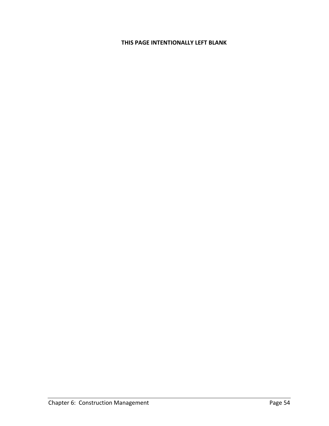### **THIS PAGE INTENTIONALLY LEFT BLANK**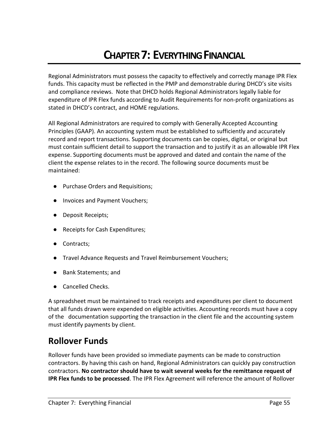# **CHAPTER 7: EVERYTHING FINANCIAL**

Regional Administrators must possess the capacity to effectively and correctly manage IPR Flex funds. This capacity must be reflected in the PMP and demonstrable during DHCD's site visits and compliance reviews. Note that DHCD holds Regional Administrators legally liable for expenditure of IPR Flex funds according to Audit Requirements for non-profit organizations as stated in DHCD's contract, and HOME regulations.

All Regional Administrators are required to comply with Generally Accepted Accounting Principles (GAAP). An accounting system must be established to sufficiently and accurately record and report transactions. Supporting documents can be copies, digital, or original but must contain sufficient detail to support the transaction and to justify it as an allowable IPR Flex expense. Supporting documents must be approved and dated and contain the name of the client the expense relates to in the record. The following source documents must be maintained:

- Purchase Orders and Requisitions;
- Invoices and Payment Vouchers;
- Deposit Receipts;
- Receipts for Cash Expenditures;
- Contracts;
- Travel Advance Requests and Travel Reimbursement Vouchers;
- Bank Statements; and
- Cancelled Checks.

A spreadsheet must be maintained to track receipts and expenditures per client to document that all funds drawn were expended on eligible activities. Accounting records must have a copy of the documentation supporting the transaction in the client file and the accounting system must identify payments by client.

## **Rollover Funds**

Rollover funds have been provided so immediate payments can be made to construction contractors. By having this cash on hand, Regional Administrators can quickly pay construction contractors. **No contractor should have to wait several weeks for the remittance request of IPR Flex funds to be processed**. The IPR Flex Agreement will reference the amount of Rollover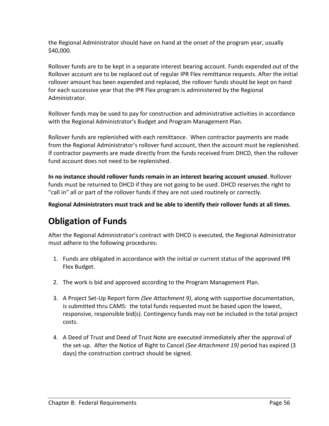the Regional Administrator should have on hand at the onset of the program year, usually \$40,000.

Rollover funds are to be kept in a separate interest bearing account. Funds expended out of the Rollover account are to be replaced out of regular IPR Flex remittance requests. After the initial rollover amount has been expended and replaced, the rollover funds should be kept on hand for each successive year that the IPR Flex program is administered by the Regional Administrator.

Rollover funds may be used to pay for construction and administrative activities in accordance with the Regional Administrator's Budget and Program Management Plan.

Rollover funds are replenished with each remittance. When contractor payments are made from the Regional Administrator's rollover fund account, then the account must be replenished. If contractor payments are made directly from the funds received from DHCD, then the rollover fund account does not need to be replenished.

**In no instance should rollover funds remain in an interest bearing account unused**. Rollover funds must be returned to DHCD if they are not going to be used. DHCD reserves the right to "call in" all or part of the rollover funds if they are not used routinely or correctly.

**Regional Administrators must track and be able to identify their rollover funds at all times.** 

## **Obligation of Funds**

After the Regional Administrator's contract with DHCD is executed, the Regional Administrator must adhere to the following procedures:

- 1. Funds are obligated in accordance with the initial or current status of the approved IPR Flex Budget.
- 2. The work is bid and approved according to the Program Management Plan.
- 3. A Project Set-Up Report form *(See Attachment 9)*, along with supportive documentation, is submitted thru CAMS: the total funds requested must be based upon the lowest, responsive, responsible bid(s). Contingency funds may not be included in the total project costs.
- 4. A Deed of Trust and Deed of Trust Note are executed immediately after the approval of the set-up. After the Notice of Right to Cancel *(See Attachment 19)* period has expired (3 days) the construction contract should be signed.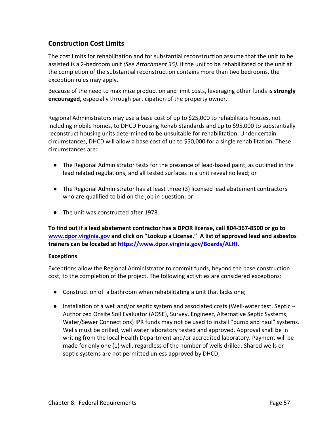## **Construction Cost Limits**

The cost limits for rehabilitation and for substantial reconstruction assume that the unit to be assisted is a 2-bedroom unit *(See Attachment 35).* If the unit to be rehabilitated or the unit at the completion of the substantial reconstruction contains more than two bedrooms, the exception rules may apply.

Because of the need to maximize production and limit costs, leveraging other funds is **strongly encouraged,** especially through participation of the property owner.

Regional Administrators may use a base cost of up to \$25,000 to rehabilitate houses, not including mobile homes, to DHCD Housing Rehab Standards and up to \$95,000 to substantially reconstruct housing units determined to be unsuitable for rehabilitation. Under certain circumstances, DHCD will allow a base cost of up to \$50,000 for a single rehabilitation. These circumstances are:

- The Regional Administrator tests for the presence of lead-based paint, as outlined in the lead related regulations, and all tested surfaces in a unit reveal no lead; or
- The Regional Administrator has at least three (3) licensed lead abatement contractors who are qualified to bid on the job in question; or
- The unit was constructed after 1978.

**To find out if a lead abatement contractor has a DPOR license, call 804-367-8500 or go to [www.dpor.virginia.gov](http://www.dpor.virginia.gov/) and click on "Lookup a License." A list of approved lead and asbestos trainers can be located at [https://www.dpor.virginia.gov/Boards/ALHI.](https://www.dpor.virginia.gov/Boards/ALHI)** 

#### **Exceptions**

Exceptions allow the Regional Administrator to commit funds, beyond the base construction cost, to the completion of the project. The following activities are considered exceptions:

- Construction of a bathroom when rehabilitating a unit that lacks one;
- $\bullet$  Installation of a well and/or septic system and associated costs (Well-water test, Septic Authorized Onsite Soil Evaluator (AOSE), Survey, Engineer, Alternative Septic Systems, Water/Sewer Connections) IPR funds may not be used to install "pump and haul" systems. Wells must be drilled, well water laboratory tested and approved. Approval shall be in writing from the local Health Department and/or accredited laboratory. Payment will be made for only one (1) well, regardless of the number of wells drilled. Shared wells or septic systems are not permitted unless approved by DHCD;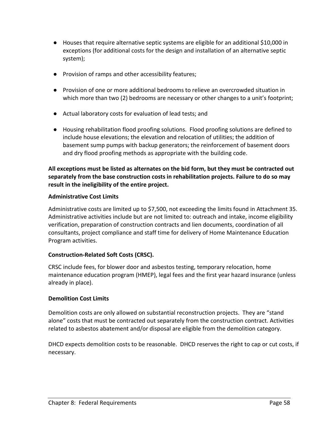- Houses that require alternative septic systems are eligible for an additional \$10,000 in exceptions (for additional costs for the design and installation of an alternative septic system);
- Provision of ramps and other accessibility features;
- Provision of one or more additional bedrooms to relieve an overcrowded situation in which more than two (2) bedrooms are necessary or other changes to a unit's footprint;
- Actual laboratory costs for evaluation of lead tests; and
- Housing rehabilitation flood proofing solutions. Flood proofing solutions are defined to include house elevations; the elevation and relocation of utilities; the addition of basement sump pumps with backup generators; the reinforcement of basement doors and dry flood proofing methods as appropriate with the building code.

#### **All exceptions must be listed as alternates on the bid form, but they must be contracted out separately from the base construction costs in rehabilitation projects. Failure to do so may result in the ineligibility of the entire project.**

#### **Administrative Cost Limits**

Administrative costs are limited up to \$7,500, not exceeding the limits found in Attachment 35. Administrative activities include but are not limited to: outreach and intake, income eligibility verification, preparation of construction contracts and lien documents, coordination of all consultants, project compliance and staff time for delivery of Home Maintenance Education Program activities.

### **Construction-Related Soft Costs (CRSC).**

CRSC include fees, for blower door and asbestos testing, temporary relocation, home maintenance education program (HMEP), legal fees and the first year hazard insurance (unless already in place).

#### **Demolition Cost Limits**

Demolition costs are only allowed on substantial reconstruction projects. They are "stand alone" costs that must be contracted out separately from the construction contract. Activities related to asbestos abatement and/or disposal are eligible from the demolition category.

DHCD expects demolition costs to be reasonable. DHCD reserves the right to cap or cut costs, if necessary.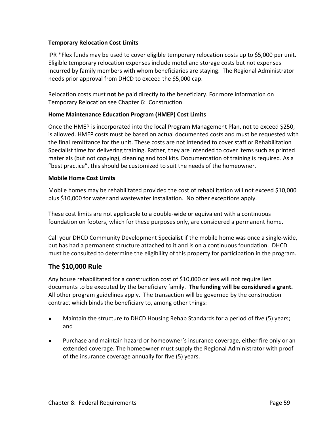#### **Temporary Relocation Cost Limits**

IPR \*Flex funds may be used to cover eligible temporary relocation costs up to \$5,000 per unit. Eligible temporary relocation expenses include motel and storage costs but not expenses incurred by family members with whom beneficiaries are staying. The Regional Administrator needs prior approval from DHCD to exceed the \$5,000 cap.

Relocation costs must **not** be paid directly to the beneficiary. For more information on Temporary Relocation see Chapter 6: Construction.

#### **Home Maintenance Education Program (HMEP) Cost Limits**

Once the HMEP is incorporated into the local Program Management Plan, not to exceed \$250, is allowed. HMEP costs must be based on actual documented costs and must be requested with the final remittance for the unit. These costs are not intended to cover staff or Rehabilitation Specialist time for delivering training. Rather, they are intended to cover items such as printed materials (but not copying), cleaning and tool kits. Documentation of training is required. As a "best practice", this should be customized to suit the needs of the homeowner.

#### **Mobile Home Cost Limits**

Mobile homes may be rehabilitated provided the cost of rehabilitation will not exceed \$10,000 plus \$10,000 for water and wastewater installation. No other exceptions apply.

These cost limits are not applicable to a double-wide or equivalent with a continuous foundation on footers, which for these purposes only, are considered a permanent home.

Call your DHCD Community Development Specialist if the mobile home was once a single-wide, but has had a permanent structure attached to it and is on a continuous foundation. DHCD must be consulted to determine the eligibility of this property for participation in the program.

### **The \$10,000 Rule**

Any house rehabilitated for a construction cost of \$10,000 or less will not require lien documents to be executed by the beneficiary family. **The funding will be considered a grant.** All other program guidelines apply. The transaction will be governed by the construction contract which binds the beneficiary to, among other things:

- Maintain the structure to DHCD Housing Rehab Standards for a period of five (5) years; and
- Purchase and maintain hazard or homeowner's insurance coverage, either fire only or an extended coverage. The homeowner must supply the Regional Administrator with proof of the insurance coverage annually for five (5) years.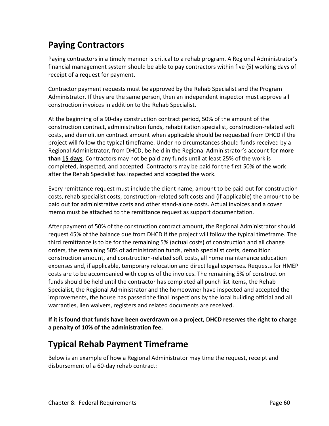## **Paying Contractors**

Paying contractors in a timely manner is critical to a rehab program. A Regional Administrator's financial management system should be able to pay contractors within five (5) working days of receipt of a request for payment.

Contractor payment requests must be approved by the Rehab Specialist and the Program Administrator. If they are the same person, then an independent inspector must approve all construction invoices in addition to the Rehab Specialist.

At the beginning of a 90-day construction contract period, 50% of the amount of the construction contract, administration funds, rehabilitation specialist, construction-related soft costs, and demolition contract amount when applicable should be requested from DHCD if the project will follow the typical timeframe. Under no circumstances should funds received by a Regional Administrator, from DHCD, be held in the Regional Administrator's account for **more than 15 days**. Contractors may not be paid any funds until at least 25% of the work is completed, inspected, and accepted. Contractors may be paid for the first 50% of the work after the Rehab Specialist has inspected and accepted the work.

Every remittance request must include the client name, amount to be paid out for construction costs, rehab specialist costs, construction-related soft costs and (if applicable) the amount to be paid out for administrative costs and other stand-alone costs. Actual invoices and a cover memo must be attached to the remittance request as support documentation.

After payment of 50% of the construction contract amount, the Regional Administrator should request 45% of the balance due from DHCD if the project will follow the typical timeframe. The third remittance is to be for the remaining 5% (actual costs) of construction and all change orders, the remaining 50% of administration funds, rehab specialist costs, demolition construction amount, and construction-related soft costs, all home maintenance education expenses and, if applicable, temporary relocation and direct legal expenses. Requests for HMEP costs are to be accompanied with copies of the invoices. The remaining 5% of construction funds should be held until the contractor has completed all punch list items, the Rehab Specialist, the Regional Administrator and the homeowner have inspected and accepted the improvements, the house has passed the final inspections by the local building official and all warranties, lien waivers, registers and related documents are received.

**If it is found that funds have been overdrawn on a project, DHCD reserves the right to charge a penalty of 10% of the administration fee.**

## **Typical Rehab Payment Timeframe**

Below is an example of how a Regional Administrator may time the request, receipt and disbursement of a 60-day rehab contract: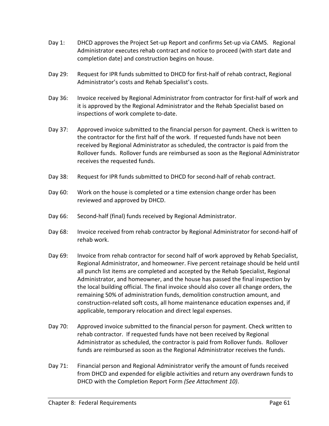- Day 1: DHCD approves the Project Set-up Report and confirms Set-up via CAMS. Regional Administrator executes rehab contract and notice to proceed (with start date and completion date) and construction begins on house.
- Day 29: Request for IPR funds submitted to DHCD for first-half of rehab contract, Regional Administrator's costs and Rehab Specialist's costs.
- Day 36: Invoice received by Regional Administrator from contractor for first-half of work and it is approved by the Regional Administrator and the Rehab Specialist based on inspections of work complete to-date.
- Day 37: Approved invoice submitted to the financial person for payment. Check is written to the contractor for the first half of the work. If requested funds have not been received by Regional Administrator as scheduled, the contractor is paid from the Rollover funds. Rollover funds are reimbursed as soon as the Regional Administrator receives the requested funds.
- Day 38: Request for IPR funds submitted to DHCD for second-half of rehab contract.
- Day 60: Work on the house is completed or a time extension change order has been reviewed and approved by DHCD.
- Day 66: Second-half (final) funds received by Regional Administrator.
- Day 68: Invoice received from rehab contractor by Regional Administrator for second-half of rehab work.
- Day 69: Invoice from rehab contractor for second half of work approved by Rehab Specialist, Regional Administrator, and homeowner. Five percent retainage should be held until all punch list items are completed and accepted by the Rehab Specialist, Regional Administrator, and homeowner, and the house has passed the final inspection by the local building official. The final invoice should also cover all change orders, the remaining 50% of administration funds, demolition construction amount, and construction-related soft costs, all home maintenance education expenses and, if applicable, temporary relocation and direct legal expenses.
- Day 70: Approved invoice submitted to the financial person for payment. Check written to rehab contractor. If requested funds have not been received by Regional Administrator as scheduled, the contractor is paid from Rollover funds. Rollover funds are reimbursed as soon as the Regional Administrator receives the funds.
- Day 71: Financial person and Regional Administrator verify the amount of funds received from DHCD and expended for eligible activities and return any overdrawn funds to DHCD with the Completion Report Form *(See Attachment 10)*.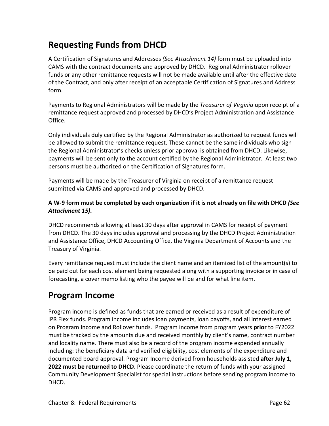## **Requesting Funds from DHCD**

A Certification of Signatures and Addresses *(See Attachment 14)* form must be uploaded into CAMS with the contract documents and approved by DHCD. Regional Administrator rollover funds or any other remittance requests will not be made available until after the effective date of the Contract, and only after receipt of an acceptable Certification of Signatures and Address form.

Payments to Regional Administrators will be made by the *Treasurer of Virginia* upon receipt of a remittance request approved and processed by DHCD's Project Administration and Assistance Office.

Only individuals duly certified by the Regional Administrator as authorized to request funds will be allowed to submit the remittance request. These cannot be the same individuals who sign the Regional Administrator's checks unless prior approval is obtained from DHCD. Likewise, payments will be sent only to the account certified by the Regional Administrator. At least two persons must be authorized on the Certification of Signatures form.

Payments will be made by the Treasurer of Virginia on receipt of a remittance request submitted via CAMS and approved and processed by DHCD.

### **A W-9 form must be completed by each organization if it is not already on file with DHCD** *(See Attachment 15)***.**

DHCD recommends allowing at least 30 days after approval in CAMS for receipt of payment from DHCD. The 30 days includes approval and processing by the DHCD Project Administration and Assistance Office, DHCD Accounting Office, the Virginia Department of Accounts and the Treasury of Virginia.

Every remittance request must include the client name and an itemized list of the amount(s) to be paid out for each cost element being requested along with a supporting invoice or in case of forecasting, a cover memo listing who the payee will be and for what line item.

## **Program Income**

Program income is defined as funds that are earned or received as a result of expenditure of IPR Flex funds. Program income includes loan payments, loan payoffs, and all interest earned on Program Income and Rollover funds. Program income from program years **prior** to FY2022 must be tracked by the amounts due and received monthly by client's name, contract number and locality name. There must also be a record of the program income expended annually including: the beneficiary data and verified eligibility, cost elements of the expenditure and documented board approval. Program Income derived from households assisted **after July 1, 2022 must be returned to DHCD**. Please coordinate the return of funds with your assigned Community Development Specialist for special instructions before sending program income to DHCD.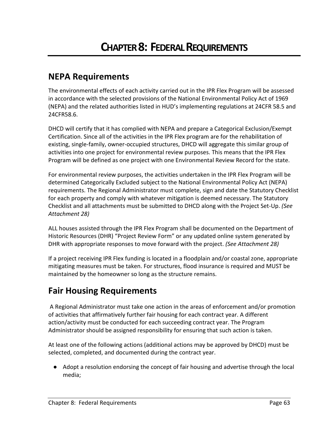## **NEPA Requirements**

The environmental effects of each activity carried out in the IPR Flex Program will be assessed in accordance with the selected provisions of the National Environmental Policy Act of 1969 (NEPA) and the related authorities listed in HUD's implementing regulations at 24CFR 58.5 and 24CFR58.6.

DHCD will certify that it has complied with NEPA and prepare a Categorical Exclusion/Exempt Certification. Since all of the activities in the IPR Flex program are for the rehabilitation of existing, single-family, owner-occupied structures, DHCD will aggregate this similar group of activities into one project for environmental review purposes. This means that the IPR Flex Program will be defined as one project with one Environmental Review Record for the state.

For environmental review purposes, the activities undertaken in the IPR Flex Program will be determined Categorically Excluded subject to the National Environmental Policy Act (NEPA) requirements. The Regional Administrator must complete, sign and date the Statutory Checklist for each property and comply with whatever mitigation is deemed necessary. The Statutory Checklist and all attachments must be submitted to DHCD along with the Project Set-Up. *(See Attachment 28)*

ALL houses assisted through the IPR Flex Program shall be documented on the Department of Historic Resources (DHR) "Project Review Form" or any updated online system generated by DHR with appropriate responses to move forward with the project. *(See Attachment 28)*

If a project receiving IPR Flex funding is located in a floodplain and/or coastal zone, appropriate mitigating measures must be taken. For structures, flood insurance is required and MUST be maintained by the homeowner so long as the structure remains.

## **Fair Housing Requirements**

A Regional Administrator must take one action in the areas of enforcement and/or promotion of activities that affirmatively further fair housing for each contract year. A different action/activity must be conducted for each succeeding contract year. The Program Administrator should be assigned responsibility for ensuring that such action is taken.

At least one of the following actions (additional actions may be approved by DHCD) must be selected, completed, and documented during the contract year.

● Adopt a resolution endorsing the concept of fair housing and advertise through the local media;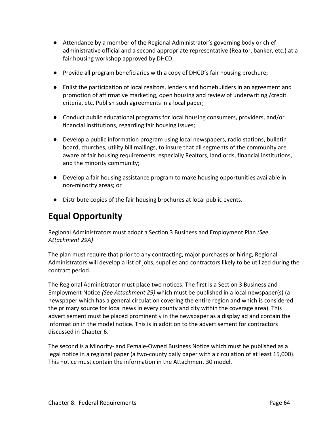- Attendance by a member of the Regional Administrator's governing body or chief administrative official and a second appropriate representative (Realtor, banker, etc.) at a fair housing workshop approved by DHCD;
- Provide all program beneficiaries with a copy of DHCD's fair housing brochure;
- Enlist the participation of local realtors, lenders and homebuilders in an agreement and promotion of affirmative marketing, open housing and review of underwriting /credit criteria, etc. Publish such agreements in a local paper;
- Conduct public educational programs for local housing consumers, providers, and/or financial institutions, regarding fair housing issues;
- Develop a public information program using local newspapers, radio stations, bulletin board, churches, utility bill mailings, to insure that all segments of the community are aware of fair housing requirements, especially Realtors, landlords, financial institutions, and the minority community;
- Develop a fair housing assistance program to make housing opportunities available in non-minority areas; or
- Distribute copies of the fair housing brochures at local public events.

## **Equal Opportunity**

Regional Administrators must adopt a Section 3 Business and Employment Plan *(See Attachment 29A)*

The plan must require that prior to any contracting, major purchases or hiring, Regional Administrators will develop a list of jobs, supplies and contractors likely to be utilized during the contract period.

The Regional Administrator must place two notices. The first is a Section 3 Business and Employment Notice *(See Attachment 29)* which must be published in a local newspaper(s) (a newspaper which has a general circulation covering the entire region and which is considered the primary source for local news in every county and city within the coverage area). This advertisement must be placed prominently in the newspaper as a display ad and contain the information in the model notice. This is in addition to the advertisement for contractors discussed in Chapter 6.

The second is a Minority- and Female-Owned Business Notice which must be published as a legal notice in a regional paper (a two-county daily paper with a circulation of at least 15,000). This notice must contain the information in the Attachment 30 model.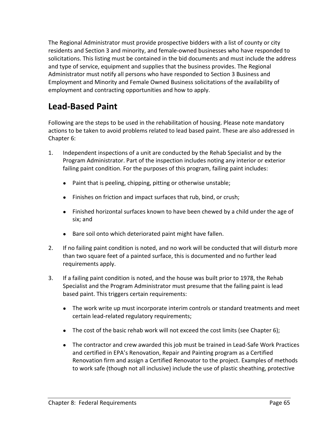The Regional Administrator must provide prospective bidders with a list of county or city residents and Section 3 and minority, and female-owned businesses who have responded to solicitations. This listing must be contained in the bid documents and must include the address and type of service, equipment and supplies that the business provides. The Regional Administrator must notify all persons who have responded to Section 3 Business and Employment and Minority and Female Owned Business solicitations of the availability of employment and contracting opportunities and how to apply.

## **Lead-Based Paint**

Following are the steps to be used in the rehabilitation of housing. Please note mandatory actions to be taken to avoid problems related to lead based paint. These are also addressed in Chapter 6:

- 1. Independent inspections of a unit are conducted by the Rehab Specialist and by the Program Administrator. Part of the inspection includes noting any interior or exterior failing paint condition. For the purposes of this program, failing paint includes:
	- Paint that is peeling, chipping, pitting or otherwise unstable;
	- Finishes on friction and impact surfaces that rub, bind, or crush;
	- Finished horizontal surfaces known to have been chewed by a child under the age of six; and
	- Bare soil onto which deteriorated paint might have fallen.
- 2. If no failing paint condition is noted, and no work will be conducted that will disturb more than two square feet of a painted surface, this is documented and no further lead requirements apply.
- 3. If a failing paint condition is noted, and the house was built prior to 1978, the Rehab Specialist and the Program Administrator must presume that the failing paint is lead based paint. This triggers certain requirements:
	- The work write up must incorporate interim controls or standard treatments and meet certain lead-related regulatory requirements;
	- The cost of the basic rehab work will not exceed the cost limits (see Chapter 6);
	- The contractor and crew awarded this job must be trained in Lead-Safe Work Practices and certified in EPA's Renovation, Repair and Painting program as a Certified Renovation firm and assign a Certified Renovator to the project. Examples of methods to work safe (though not all inclusive) include the use of plastic sheathing, protective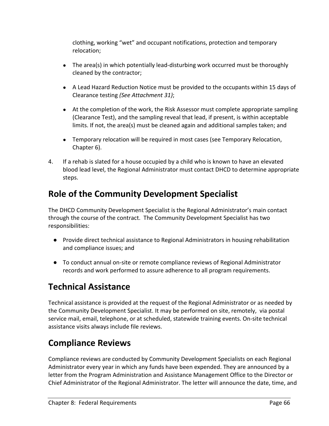clothing, working "wet" and occupant notifications, protection and temporary relocation;

- The area(s) in which potentially lead-disturbing work occurred must be thoroughly cleaned by the contractor;
- A Lead Hazard Reduction Notice must be provided to the occupants within 15 days of Clearance testing *(See Attachment 31)*;
- At the completion of the work, the Risk Assessor must complete appropriate sampling (Clearance Test), and the sampling reveal that lead, if present, is within acceptable limits. If not, the area(s) must be cleaned again and additional samples taken; and
- Temporary relocation will be required in most cases (see Temporary Relocation, Chapter 6).
- 4. If a rehab is slated for a house occupied by a child who is known to have an elevated blood lead level, the Regional Administrator must contact DHCD to determine appropriate steps.

## **Role of the Community Development Specialist**

The DHCD Community Development Specialist is the Regional Administrator's main contact through the course of the contract. The Community Development Specialist has two responsibilities:

- Provide direct technical assistance to Regional Administrators in housing rehabilitation and compliance issues; and
- To conduct annual on-site or remote compliance reviews of Regional Administrator records and work performed to assure adherence to all program requirements.

## **Technical Assistance**

Technical assistance is provided at the request of the Regional Administrator or as needed by the Community Development Specialist. It may be performed on site, remotely, via postal service mail, email, telephone, or at scheduled, statewide training events. On-site technical assistance visits always include file reviews.

## **Compliance Reviews**

Compliance reviews are conducted by Community Development Specialists on each Regional Administrator every year in which any funds have been expended. They are announced by a letter from the Program Administration and Assistance Management Office to the Director or Chief Administrator of the Regional Administrator. The letter will announce the date, time, and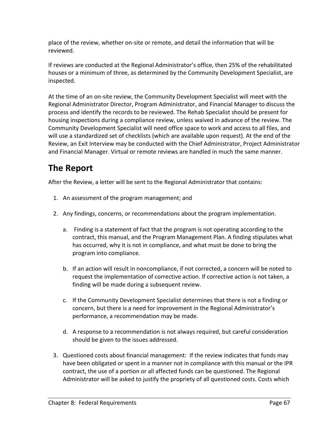place of the review, whether on-site or remote, and detail the information that will be reviewed.

If reviews are conducted at the Regional Administrator's office, then 25% of the rehabilitated houses or a minimum of three, as determined by the Community Development Specialist, are inspected.

At the time of an on-site review, the Community Development Specialist will meet with the Regional Administrator Director, Program Administrator, and Financial Manager to discuss the process and identify the records to be reviewed. The Rehab Specialist should be present for housing inspections during a compliance review, unless waived in advance of the review. The Community Development Specialist will need office space to work and access to all files, and will use a standardized set of checklists (which are available upon request). At the end of the Review, an Exit Interview may be conducted with the Chief Administrator, Project Administrator and Financial Manager. Virtual or remote reviews are handled in much the same manner.

## **The Report**

After the Review, a letter will be sent to the Regional Administrator that contains:

- 1. An assessment of the program management; and
- 2. Any findings, concerns, or recommendations about the program implementation.
	- a. Finding is a statement of fact that the program is not operating according to the contract, this manual, and the Program Management Plan. A finding stipulates what has occurred, why it is not in compliance, and what must be done to bring the program into compliance.
	- b. If an action will result in noncompliance, if not corrected, a concern will be noted to request the implementation of corrective action. If corrective action is not taken, a finding will be made during a subsequent review.
	- c. If the Community Development Specialist determines that there is not a finding or concern, but there is a need for improvement in the Regional Administrator's performance, a recommendation may be made.
	- d. A response to a recommendation is not always required, but careful consideration should be given to the issues addressed.
- 3. Questioned costs about financial management: If the review indicates that funds may have been obligated or spent in a manner not in compliance with this manual or the IPR contract, the use of a portion or all affected funds can be questioned. The Regional Administrator will be asked to justify the propriety of all questioned costs. Costs which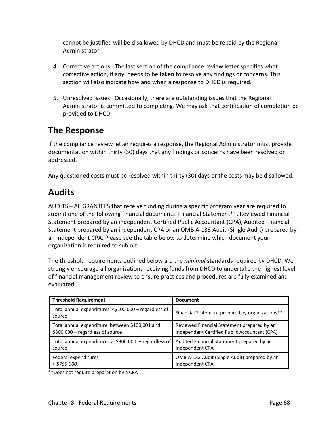cannot be justified will be disallowed by DHCD and must be repaid by the Regional Administrator.

- 4. Corrective actions: The last section of the compliance review letter specifies what corrective action, if any, needs to be taken to resolve any findings or concerns. This section will also indicate how and when a response to DHCD is required.
- 5. Unresolved Issues: Occasionally, there are outstanding issues that the Regional Administrator is committed to completing. We may ask that certification of completion be provided to DHCD.

## **The Response**

If the compliance review letter requires a response, the Regional Administrator must provide documentation within thirty (30) days that any findings or concerns have been resolved or addressed.

Any questioned costs must be resolved within thirty (30) days or the costs may be disallowed.

## **Audits**

AUDITS – All GRANTEES that receive funding during a specific program year are required to submit one of the following financial documents: Financial Statement\*\*, Reviewed Financial Statement prepared by an independent Certified Public Accountant (CPA), Audited Financial Statement prepared by an independent CPA or an OMB A-133 Audit (Single Audit) prepared by an independent CPA. Please see the table below to determine which document your organization is required to submit.

The threshold requirements outlined below are the *minimal* standards required by DHCD. We strongly encourage all organizations receiving funds from DHCD to undertake the highest level of financial management review to ensure practices and procedures are fully examined and evaluated.

| <b>Threshold Requirement</b>                                         | <b>Document</b>                                 |
|----------------------------------------------------------------------|-------------------------------------------------|
| Total annual expenditures $\leq$ \$100,000 - regardless of<br>source | Financial Statement prepared by organizations** |
| Total annual expenditure between \$100,001 and                       | Reviewed Financial Statement prepared by an     |
| \$300,000 - regardless of source                                     | Independent Certified Public Accountant (CPA)   |
| Total annual expenditures $>$ \$300,000 – regardless of              | Audited Financial Statement prepared by an      |
| source                                                               | Independent CPA                                 |
| Federal expenditures                                                 | OMB A-133 Audit (Single Audit) prepared by an   |
| $>$ \$750,000.                                                       | Independent CPA                                 |

\*\*Does not require preparation by a CPA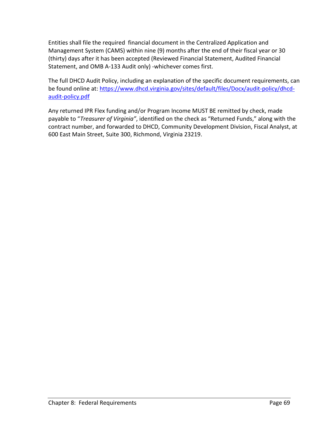Entities shall file the required financial document in the Centralized Application and Management System (CAMS) within nine (9) months after the end of their fiscal year or 30 (thirty) days after it has been accepted (Reviewed Financial Statement, Audited Financial Statement, and OMB A-133 Audit only) -whichever comes first.

The full DHCD Audit Policy, including an explanation of the specific document requirements, can be found online at: [https://www.dhcd.virginia.gov/sites/default/files/Docx/audit-policy/dhcd](https://www.dhcd.virginia.gov/sites/default/files/Docx/audit-policy/dhcd-audit-policy.pdf)[audit-policy.pdf](https://www.dhcd.virginia.gov/sites/default/files/Docx/audit-policy/dhcd-audit-policy.pdf)

Any returned IPR Flex funding and/or Program Income MUST BE remitted by check, made payable to "*Treasurer of Virginia"*, identified on the check as "Returned Funds," along with the contract number, and forwarded to DHCD, Community Development Division, Fiscal Analyst, at 600 East Main Street, Suite 300, Richmond, Virginia 23219.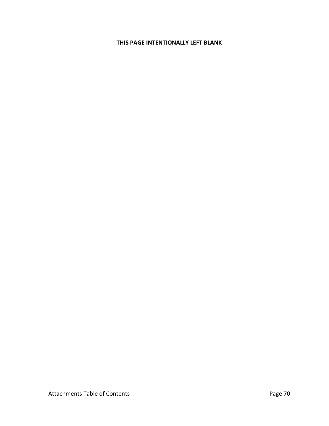## **THIS PAGE INTENTIONALLY LEFT BLANK**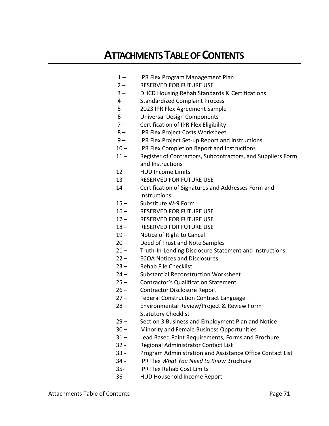## **ATTACHMENTS TABLE OF CONTENTS**

- 1 IPR Flex Program Management Plan
- 2 RESERVED FOR FUTURE USE
- 3 DHCD Housing Rehab Standards & Certifications
- 4 Standardized Complaint Process
- 5 2023 IPR Flex Agreement Sample
- 6 Universal Design Components
- 7 Certification of IPR Flex Eligibility
- 8 IPR Flex Project Costs Worksheet
- 9 IPR Flex Project Set-up Report and Instructions
- 10 IPR Flex Completion Report and Instructions
- 11 Register of Contractors, Subcontractors, and Suppliers Form and Instructions
- 12 HUD Income Limits
- 13 RESERVED FOR FUTURE USE
- 14 Certification of Signatures and Addresses Form and **Instructions**
- 15 Substitute W-9 Form
- 16 RESERVED FOR FUTURE USE
- 17 RESERVED FOR FUTURE USE
- 18 RESERVED FOR FUTURE USE
- 19 Notice of Right to Cancel
- 20 Deed of Trust and Note Samples
- 21 Truth-In-Lending Disclosure Statement and Instructions
- 22 ECOA Notices and Disclosures
- 23 Rehab File Checklist
- 24 Substantial Reconstruction Worksheet
- 25 Contractor's Qualification Statement
- 26 Contractor Disclosure Report
- 27 Federal Construction Contract Language
- 28 Environmental Review/Project & Review Form Statutory Checklist
- 29 Section 3 Business and Employment Plan and Notice
- 30 Minority and Female Business Opportunities
- 31 Lead Based Paint Requirements, Forms and Brochure
- 32 Regional Administrator Contact List
- 33 Program Administration and Assistance Office Contact List
- 34 IPR Flex *What You Need to Know* Brochure
- 35- IPR Flex Rehab Cost Limits
- 36- HUD Household Income Report